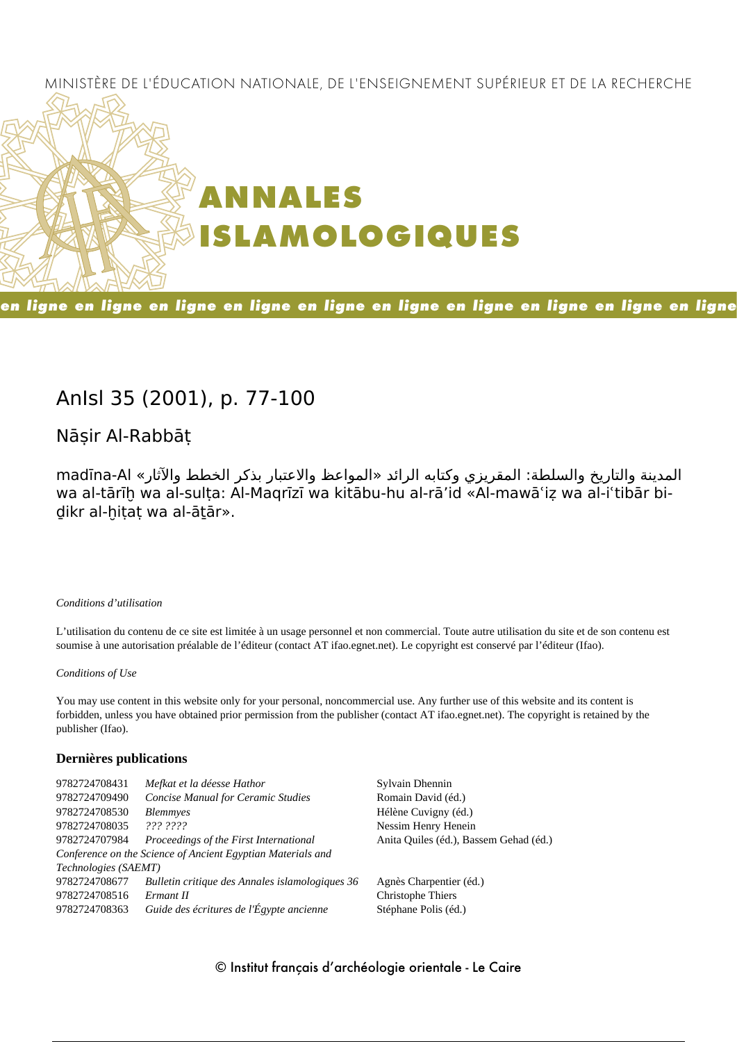## MINISTÈRE DE L'ÉDUCATION NATIONALE, DE L'ENSEIGNEMENT SUPÉRIEUR ET DE LA RECHERCHE



## en ligne en ligne en ligne en ligne en ligne en ligne en ligne en ligne en ligne en ligne

## **AnIsl 35 (2001), p. 77-100**

## **Nāṣir Al-Rabbāṭ**

المدينة والتاريخ والسلطة: المقريزي وكتابه الرائد «المواعظ والاعتبار بذكر الخطط والآثار» Al-madīna wa al-tārīḫ wa al-sulṭa: Al-Maqrīzī wa kitābu-hu al-rā'id «Al-mawāʿiẓ wa al-iʿtibār bidikr al-hitat wa al-ātār».

#### *Conditions d'utilisation*

L'utilisation du contenu de ce site est limitée à un usage personnel et non commercial. Toute autre utilisation du site et de son contenu est soumise à une autorisation préalable de l'éditeur (contact AT ifao.egnet.net). Le copyright est conservé par l'éditeur (Ifao).

#### *Conditions of Use*

You may use content in this website only for your personal, noncommercial use. Any further use of this website and its content is forbidden, unless you have obtained prior permission from the publisher (contact AT ifao.egnet.net). The copyright is retained by the publisher (Ifao).

#### **Dernières publications**

| 9782724708431        | Mefkat et la déesse Hathor                                  | Sylvain Dhennin                        |
|----------------------|-------------------------------------------------------------|----------------------------------------|
| 9782724709490        | <b>Concise Manual for Ceramic Studies</b>                   | Romain David (éd.)                     |
| 9782724708530        | <b>Blemmyes</b>                                             | Hélène Cuvigny (éd.)                   |
| 9782724708035        | 222.2222                                                    | Nessim Henry Henein                    |
| 9782724707984        | Proceedings of the First International                      | Anita Quiles (éd.), Bassem Gehad (éd.) |
|                      | Conference on the Science of Ancient Egyptian Materials and |                                        |
| Technologies (SAEMT) |                                                             |                                        |
| 9782724708677        | Bulletin critique des Annales islamologiques 36             | Agnès Charpentier (éd.)                |
| 9782724708516        | Ermant II                                                   | Christophe Thiers                      |
| 9782724708363        | Guide des écritures de l'Égypte ancienne                    | Stéphane Polis (éd.)                   |
|                      |                                                             |                                        |

### © Institut français d'archéologie orientale - Le Caire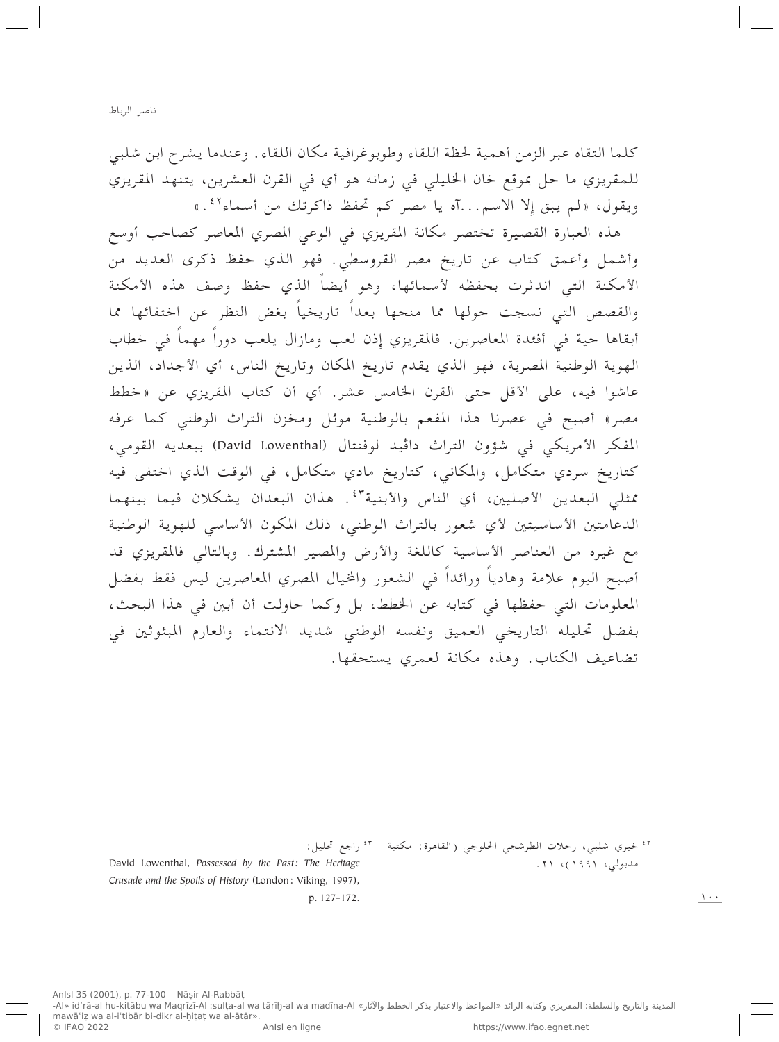كلما التقاه عبر الزمن أهمية لحظة اللقاء وطوبوغرافية مكان اللقاء . وعندما يشرح ابن شلبي للمقريزي ما حل بموقع خان الخليلي في زمانه هو أي في القرن العشرين، يتنهد المقريزي ويقول، «لم يبق إلا الاسم...آه يا مصر كم تحفظ ذاكرتك من أسماء ٤٢.»

هذه العبارة القصيرة تختصر مكانة المقريزي في الوعي المصري المعاصر كصاحب أوسع وأشمل وأعمق كتاب عن تاريخ مصر القروسطي. فهو الذي حفظ ذكرى العديد من الأمكنة التبي اندثرت بحفظه لأسمائها، وهو أيضاً الذي حفظ وصف هذه الأمكنة والقصص التي نسجت حولها مما منحها بعداً تاريخياً بغض النظر عن اختفائها مما أبقاها حية في أفئدة المعاصرين. فالمقريزي إِذن لعب ومازال يلعب دوراً مهماً في خطاب الهوية الوطنية المصرية، فهو الذي يقدم تاريخ المكان وتاريخ الناس، أي الأجداد، الذين عاشوا فيه، على الأقل حتى القرن الخامس عشر. أي أن كتاب المقريزي عن «خطط مصر» أصبح في عصرنا هذا المفعم بالوطنية موئل ومخزن التراث الوطني كما عرفه المفكر الأمريكي في شؤون التراث داڤيد لوفنتال (David Lowenthal) ببعديه القومي، كتاريخ سردي متكامل، والمكاني، كتاريخ مادي متكامل، في الوقت الذي اختفى فيه ممثلي البعدين الأصليين، أي الناس والأبنية ٢. هذان البعدان يشكلان فيما بينهما الدعامتين الأساسيتين لأي شعور بالتراث الوطنبي، ذلك المكون الأساسي للهوية الوطنية مع غيره من العناصر الأساسية كاللغة والأرض والمصير المشترك. وبالتالي فالمقريزي قد أصبح اليوم علامة وهادياً ورائداً في الشعور والمخيال المصري المعاصرين ليس فقط بفضل المعلومات التي حفظها في كتابه عن الخطط، بل وكما حاولت أن أبين في هذا البحث، بفضل تحليله التاريخي العميق ونفسه الوطني شديد الانتماء والعارم المبثوثين في تضاعيف الكتاب. وهذه مكانة لعمري يستحقها.

<sup>٤٢</sup> خيري شلبي، رحلات الطرشجي الحلوجي (القاهرة: مكتبة للمعجم الراجع تحليل:

David Lowenthal, Possessed by the Past: The Heritage Crusade and the Spoils of History (London: Viking, 1997), p. 127-172.

مدبولى، ١٩٩١)، ٢١.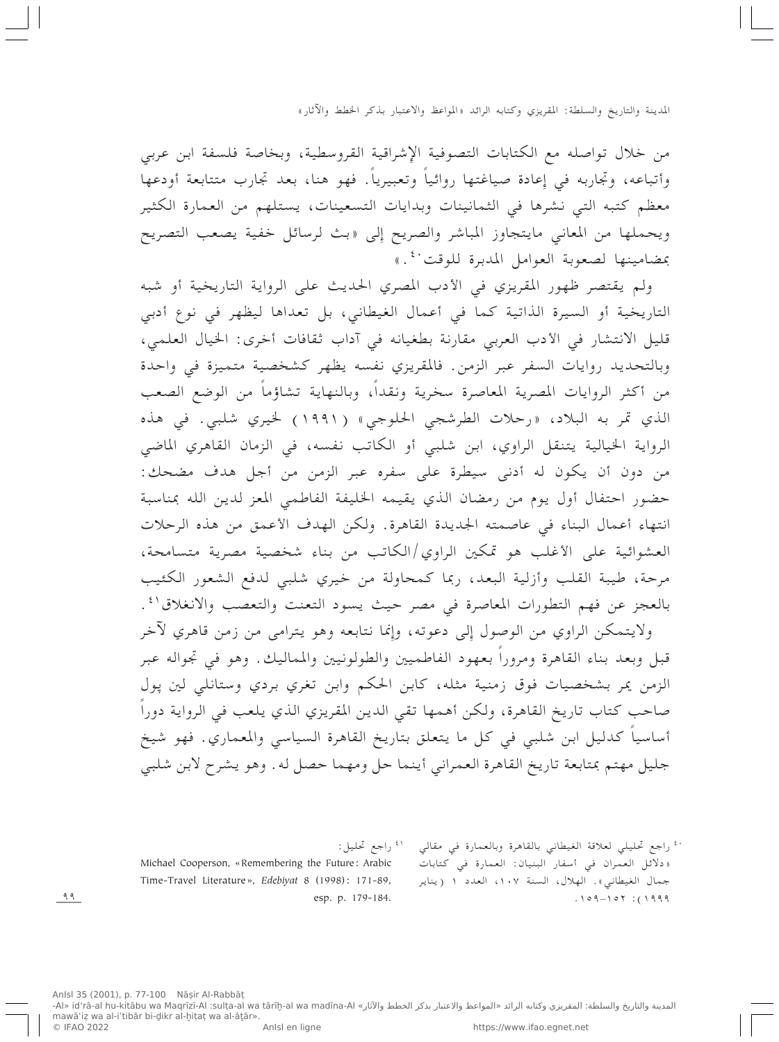من خلال تواصله مع الكتابات التصوفية الإشراقية القروسطية، وبخاصة فلسفة ابن عربي وأتباعه، وتجاربه في إِعادة صياغتها روائياً وتعبيرياً. فهو هنا، بعد تجارب متتابعة أودعها معظم كتبه التي نشرها في الثمانينات وبدايات التسعينات، يستلهم من العمارة الكثير ويحملها من المعاني مايتجاوز المباشر والصريح إِلى «بث لرسائل خفية يصعب التصريح بمضامينها لصعوبة العوامل المدبرة للوقت فكه السلم

ولم يقتصر ظهور المقريزي في الأدب المصري الحديث على الرواية التاريخية أو شبه التاريخية أو السيرة الذاتية كما في أعمال الغيطاني، بل تعداها ليظهر في نوع أدبي قليل الانتشار في الأدب العربي مقارنة بطغيانه في آداب ثقافات أخرى: الخيال العلمي، وبالتحديد روايات السفر عبر الزمن. فالمقريزي نفسه يظهر كشخصية متميزة في واحدة من أكثر الروايات المصرية المعاصرة سخرية ونقداً، وبالنهاية تشاؤماً من الوضع الصعب الذي تمر به البلاد، «رحلات الطرشجي الحلوجي» (١٩٩١) لخيري شلبي. في هذه الرواية الخيالية يتنقل الراوي، ابن شلبي أو الكاتب نفسه، في الزمان القاهري الماضي من دون أن يكون له أدنى سيطرة على سفره عبر الزمن من أجل هدف مضحك: حضور احتفال أول يوم من رمضان الذي يقيمه الخليفة الفاطمي المعز لدين الله بمناسبة انتهاء أعمال البناء في عاصمته الجديدة القاهرة. ولكن الهدف الأعمق من هذه الرحلات العشوائية على الأغلب هو تمكين الراوي/الكاتب من بناء شخصية مصرية متسامحة، مرحة، طيبة القلب وأزلية البعد، ربما كمحاولة من خيري شلبي لدفع الشعور الكئيب بالعجز عن فهم التطورات المعاصرة في مصر حيث يسود التعنت والتعصب والانغلاق\<sup>؛</sup> . . ولايتمكن الراوي من الوصول إلى دعوته، وإنما نتابعه وهو يترامى من زمن قاهري لآخر قبل وبعد بناء القاهرة ومروراً بعهود الفاطميين والطولونيين والمماليك. وهو في تجواله عبر الزمن يمر بشخصيات فوق زمنية مثله، كابن الحكم وابن تغري بردي وستانلي لين پول صاحب كتاب تاريخ القاهرة، ولكن أهمها تقى الدين المقريزي الذي يلعب في الرواية دوراً أساسياً كدليل ابن شلبي في كل ما يتعلق بتاريخ القاهرة السياسي والمعماري. فهو شيخ جليل مهتم بمتابعة تاريخ القاهرة العمراني أينما حل ومهما حصل له. وهو يشرح لابن شلبي

> <sup>، ب</sup>راجع تحليلي لعلاقة الغيطاني بالقاهرة وبالعمارة في مقالي « دلائل العمران في أسفار البنيان: العمارة في كتابات جمال الغيطاني». الهلال، السنة ١٠٧، العدد ١ (يناير  $.109 - 107$  : (1999

<sup>٤١</sup> راجع تحليل:

Michael Cooperson, «Remembering the Future: Arabic Time-Travel Literature», Edebiyat 8 (1998): 171-89, esp. p. 179-184.

 $99$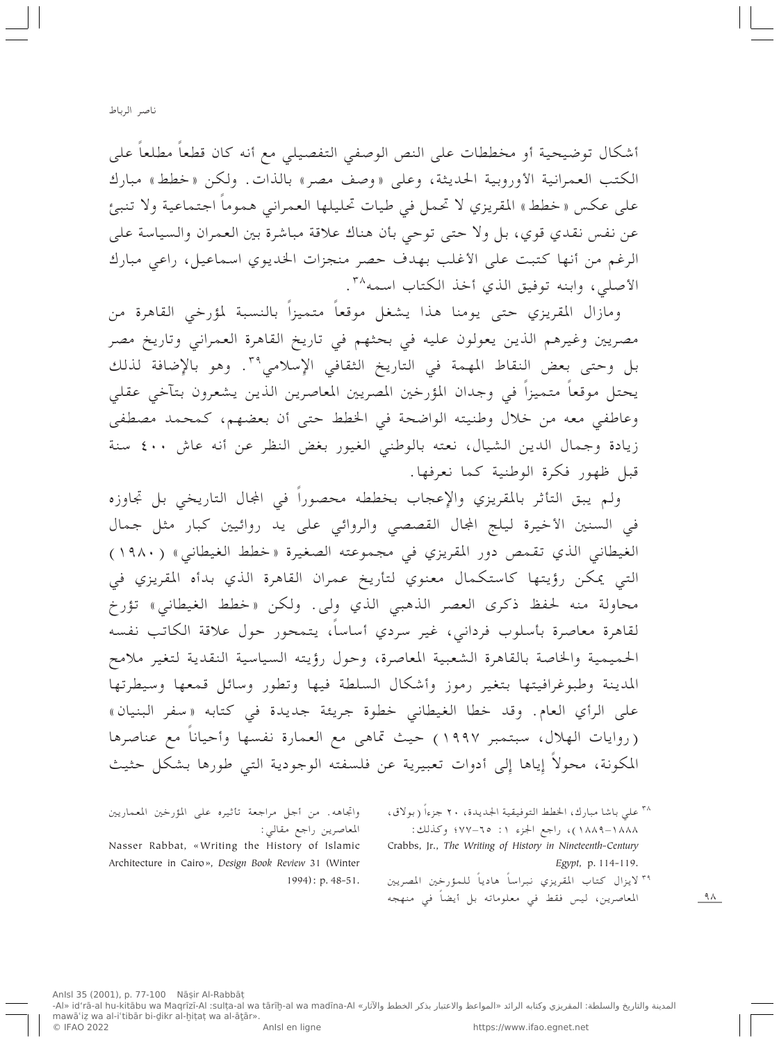أشكال توضيحية أو مخططات على النص الوصفي التفصيلي مع أنه كان قطعاً مطلعاً على الكتب العمرانية الأوروبية الحديثة، وعلى «وصف مصر» بالذات. ولكن «خطط» مبارك على عكس « خطط » المقريزي لا تحمل في طيات تحليلها العمراني هموماً اجتماعية ولا تنبئ عن نفس نقدي قوي، بل ولا حتى توحى بأن هناك علاقة مباشرة بين العمران والسياسة على الرغم من أنها كتبت على الأغلب بهدف حصر منجزات الخديوي اسماعيل، راعي مبارك الأصلى، وابنه توفيق الذي أخذ الكتاب اسمه ٣٠.

ومازال المقريزي حتى يومنا هذا يشغل موقعاً متميزاً بالنسبة لمؤرخى القاهرة من مصريين وغيرهم الذين يعولون عليه في بحثهم في تاريخ القاهرة العمراني وتاريخ مصر بل وحتى بعض النقاط المهمة في التاريخ الثقافي الإسلامي<sup>٣٩</sup>. وهو بالإضافة لذلك يحتل موقعا متميزا في وجدان المؤرخين المصريين المعاصرين الذين يشعرون بتآخى عقلى وعاطفي معه من خلال وطنيته الواضحة في الخطط حتى أن بعضهم، كمحمد مصطفى زيادة وجمال الدين الشيال، نعته بالوطني الغيور بغض النظر عن أنه عاش ٤٠٠ سنة قبل ظهور فكرة الوطنية كما نعرفها.

ولم يبق التأثر بالمقريزي والإعجاب بخططه محصوراً في المجال التاريخي بل تجاوزه في السنين الأخيرة ليلج الجال القصصى والروائي على يد روائيين كبار مثل جمال الغيطاني الذي تقمص دور المقريزي في مجموعته الصغيرة «خطط الغيطاني» (١٩٨٠) التي يمكن رؤيتها كاستكمال معنوي لتأريخ عمران القاهرة الذي بدأه المقريزي في محاولة منه لحفظ ذكرى العصر الذهبي الذي ولى. ولكن «خطط الغيطاني» تؤرخ لقاهرة معاصرة بأسلوب فرداني، غير سردي أساساً، يتمحور حول علاقة الكاتب نفسه الحميمية والخاصة بالقاهرة الشعبية المعاصرة، وحول رؤيته السياسية النقدية لتغير ملامح المدينة وطبوغرافيتها بتغير رموز وأشكال السلطة فيها وتطور وسائل قمعها وسيطرتها على الرأي العام. وقد خطا الغيطاني خطوة جريئة جديدة في كتابه «سفر البنيان» (روايات الهلال، سبتمبر ١٩٩٧) حيث تماهي مع العمارة نفسها وأحياناً مع عناصرها المكونة، محولًا إياها إلى أدوات تعبيرية عن فلسفته الوجودية التي طورها بشكل حثيث

> <sup>٣٨</sup> على باشا مبارك، الخطط التوفيقية الجديدة، ٢٠ جزءاً (بولاق، ١٨٨٨–١٨٨٩)، راجع الجزء ١: ٢٥–٢٧٧؛ وكذلك: Crabbs, Jr., The Writing of History in Nineteenth-Century Egypt, p. 114-119.

> ٣٩ لايزال كتاب المقريزي نبراساً هادياً للمؤرخين المصريين المعاصرين، ليس فقط في معلوماته بل أيضاً في منهجه

واتجاهه. من أجل مراجعة تأثيره على المؤرخين المعماريين المعاصرين راجع مقالي:

Nasser Rabbat, «Writing the History of Islamic Architecture in Cairo», Design Book Review 31 (Winter  $1994$ : p. 48-51.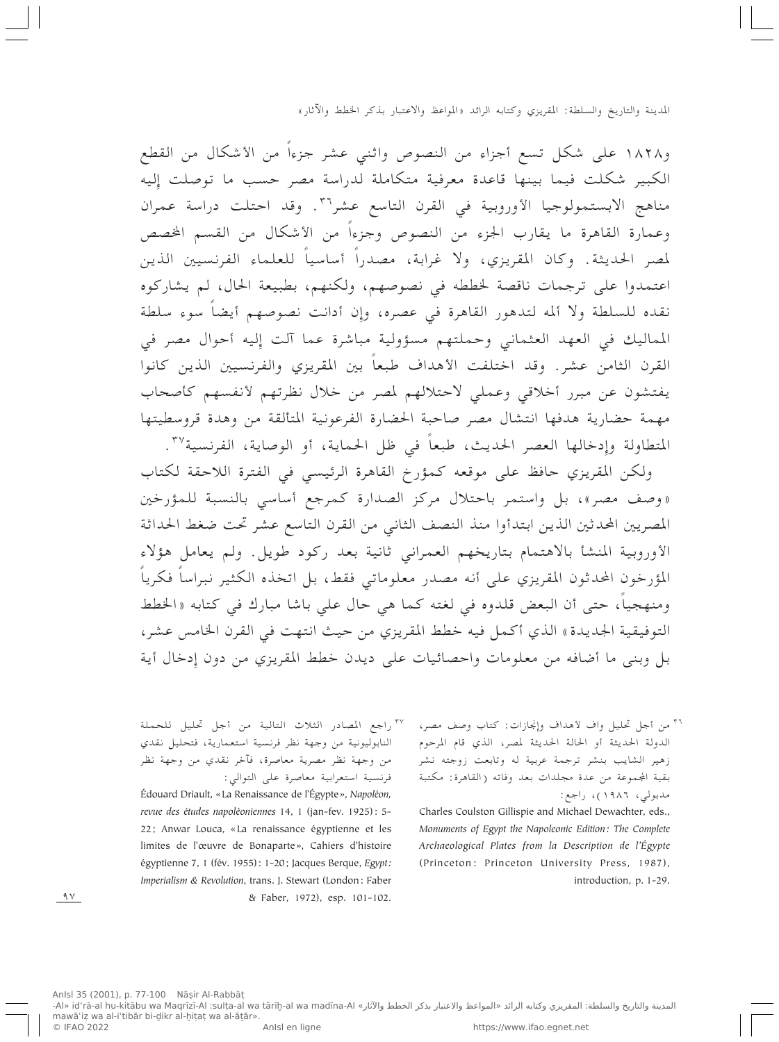و١٨٢٨ على شكل تسع أجزاء من النصوص واثني عشر جزءاً من الأشكال من القطع الكبير شكلت فيما بينها قاعدة معرفية متكاملة لدراسة مصر حسب ما توصلت إليه مناهج الابستمولوجيا الأوروبية في القرن التاسع عشر<sup>٣٦</sup>. وقد احتلت دراسة عمران وعمارة القاهرة ما يقارب الجزء من النصوص وجزءاً من الأشكال من القسم الخصص لمصر الحديثة. وكان المقريزي، ولا غرابة، مصدراً أساسياً للعلماء الفرنسيين الذين اعتمدوا على ترجمات ناقصة لخططه في نصوصهم، ولكنهم، بطبيعة الحال، لم يشاركوه نقده للسلطة ولا ألمه لتدهور القاهرة في عصره، وإن أدانت نصوصهم أيضاً سوء سلطة المماليك في العهد العثماني وحملتهم مسؤولية مباشرة عما آلت إليه أحوال مصر في القرن الثامن عشر. وقد اختلفت الأهداف طبعاً بين المقريزي والفرنسيين الذين كانوا يفتشون عن مبرر أخلاقي وعملي لاحتلالهم لمصر من خلال نظرتهم لأنفسهم كأصحاب مهمة حضارية هدفها انتشال مصر صاحبة الحضارة الفرعونية المتألقة من وهدة قروسطيتها المتطاولة وإدخالها العصر الحديث، طبعاً في ظل الحماية، أو الوصاية، الفرنسية ٣٧.

ولكن المقريزي حافظ على موقعه كمؤرخ القاهرة الرئيسي في الفترة اللاحقة لكتاب «وصف مصر»، بل واستمر باحتلال مركز الصدارة كمرجع أساسى بالنسبة للمؤرخين المصريين المحدثين الذين ابتدأوا منذ النصف الثاني من القرن التاسع عشر تحت ضغط الحداثة الأوروبية المنشأ بالاهتمام بتاريخهم العمراني ثانية بعد ركود طويل. ولم يعامل هؤلاء المؤرخون المحدثون المقريزي على أنه مصدر معلوماتي فقط، بل اتخذه الكثير نبراساً فكرياً ومنهجياً، حتى أن البعض قلدوه في لغته كما هي حال على باشا مبارك في كتابه «الخطط التوفيقية الجديدة» الذي أكمل فيه خطط المقريزي من حيث انتهت في القرن الخامس عشر، بل وبني ما أضافه من معلومات واحصائيات على ديدن خطط المقريزي من دون إدخال أية

> <sup>٣٦</sup> من أجل تحليل واف لأهداف وإنجازات: كتاب وصف مصر، الدولة الحديثة أو الحالة الحديثة لمصر، الذي قام المرحوم زهير الشايب بنشر ترجمة عربية له وتابعت زوجته نشر بقية المجموعة من عدة مجلدات بعد وفاته (القاهرة: مكتبة مدبولي، ١٩٨٦)، راجع:

Charles Coulston Gillispie and Michael Dewachter, eds., Monuments of Egypt the Napoleonic Edition: The Complete Archaeological Plates from la Description de l'Égypte (Princeton: Princeton University Press, 1987), introduction, p. 1-29.

<sup>٣٧</sup> راجع المصادر الثلاث التالية من أجل تحليل للحملة النابوليونية من وجهة نظر فرنسية استعمارية، فتحليل نقدي من وجهة نظر مصرية معاصرة، فآخر نقدي من وجهة نظر فرنسية استعرابية معاصرة على التوالي:

Édouard Driault, «La Renaissance de l'Égypte», Napoléon, revue des études napoléoniennes 14, 1 (jan-fev. 1925): 5-22; Anwar Louca, «La renaissance égyptienne et les limites de l'œuvre de Bonaparte», Cahiers d'histoire égyptienne 7, 1 (fév. 1955): 1-20; Jacques Berque, Egypt: Imperialism & Revolution, trans. J. Stewart (London: Faber & Faber, 1972), esp. 101-102.

 $9V$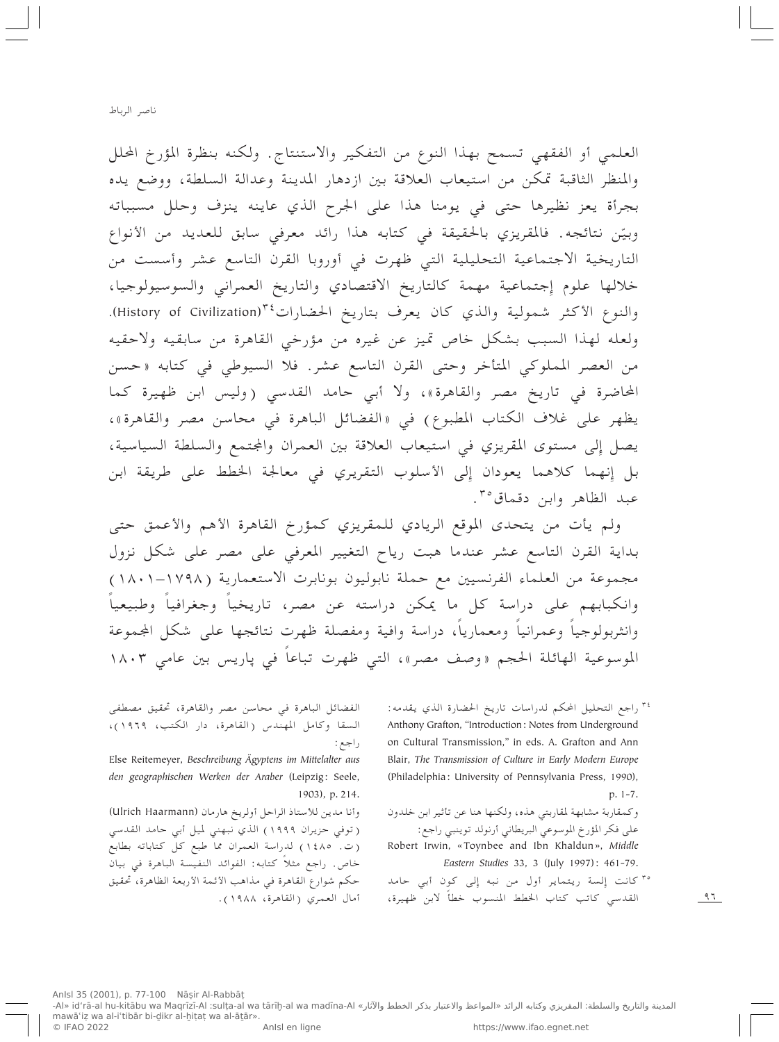العلمي أو الفقهي تسمح بهذا النوع من التفكير والاستنتاج. ولكنه بنظرة المؤرخ المحلل والمنظر الثاقبة تمكن من استيعاب العلاقة بين ازدهار المدينة وعدالة السلطة، ووضع يده بجرأة يعز نظيرها حتى في يومنا هذا على الجرح الذي عاينه ينزف وحلل مسبباته وبيّن نتائجه. فالمقريزي بالحقيقة في كتابه هذا رائد معرفي سابق للعديد من الأنواع التاريخية الاجتماعية التحليلية التي ظهرت في أوروبا القرن التاسع عشر وأسست من خلالها علوم إجتماعية مهمة كالتاريخ الاقتصادي والتاريخ العمراني والسوسيولوجيا، والنوع الأكثر شمولية والذي كان يعرف بتاريخ الحضارات<sup>٢٤</sup>(History of Civilization). ولعله لهذا السبب بشكل خاص تميز عن غيره من مؤرخي القاهرة من سابقيه ولاحقيه من العصر المملوكي المتأخر وحتى القرن التاسع عشر. فلا السيوطي في كتابه «حسن المحاضرة في تاريخ مصر والقاهرة»، ولا أبي حامد القدسي (وليس ابن ظهيرة كما يظهر على غلاف الكتاب المطبوع) في «الفضائل الباهرة في محاسن مصر والقاهرة»، يصل إلى مستوى المقريزي في استيعاب العلاقة بين العمران والمجتمع والسلطة السياسية، بل إِنهما كلاهما يعودان إِلى الأسلوب التقريري في معالجة الخطط على طريقة ابن عبد الظاهر وابن دقماق<sup>۳۰</sup>.

ولم يأت من يتحدى الموقع الريادي للمقريزي كمؤرخ القاهرة الأهم والأعمق حتى بداية القرن التاسع عشر عندما هبت رياح التغيير المعرفي على مصر على شكل نزول مجموعة من العلماء الفرنسيين مع حملة نابوليون بونابرت الاستعمارية (١٧٩٨–١٨٠١) وانكبابهم على دراسة كل ما يمكن دراسته عن مصر، تاريخياً وجغرافياً وطبيعياً وانثربولوجياً وعمرانياً ومعمارياً، دراسة وافية ومفصلة ظهرت نتائجها على شكل المجموعة الموسوعية الهائلة الحجم «وصف مصر»، التبي ظهرت تباعاً في پاريس بين عامي ١٨٠٣

> <sup>۳٤</sup> راجع التحليل المحكم لدراسات تاريخ الحضارة الذي يقدمه: Anthony Grafton, "Introduction: Notes from Underground on Cultural Transmission," in eds. A. Grafton and Ann Blair, The Transmission of Culture in Early Modern Europe (Philadelphia: University of Pennsylvania Press, 1990), p. 1-7.

وكمقاربة مشابهة لمقاربتي هذه، ولكنها هنا عن تأثير ابن خلدون على فكر المؤرخ الموسوعي البريطاني أرنولد توينبي راجع: Robert Irwin, «Toynbee and Ibn Khaldun», Middle Eastern Studies 33, 3 (July 1997): 461-79.

<sup>٣٥</sup> كانت إلسة ريتماير أول من نبه إلى كون أبي حامد القدسي كاتب كتاب الخطط المنسوب خطأً لابن ظهيرة،

الفضائل الباهرة في محاسن مصر والقاهرة، تحقيق مصطفى السقا وكامل المهندس (القاهرة، دار الكتب، ١٩٦٩)، راجع :

Else Reitemeyer, Beschreibung Ägyptens im Mittelalter aus den geographischen Werken der Araber (Leipzig: Seele, 1903), p. 214.

وأنا مدين للأستاذ الراحل أولريخ هارمان (Ulrich Haarmann) (توفي حزيران ١٩٩٩) الذي نبهني لميل أبي حامد القدسي (ت. ١٤٨٥) لدراسة العمران مما طبع كل كتاباته بطابع خاص. راجع مثلا كتابه: الفوائد النفيسة الباهرة في بيان حكم شوارع القاهرة في مذاهب الأئمة الأربعة الظاهرة، تحقيق أمال العمري (القاهرة، ١٩٨٨).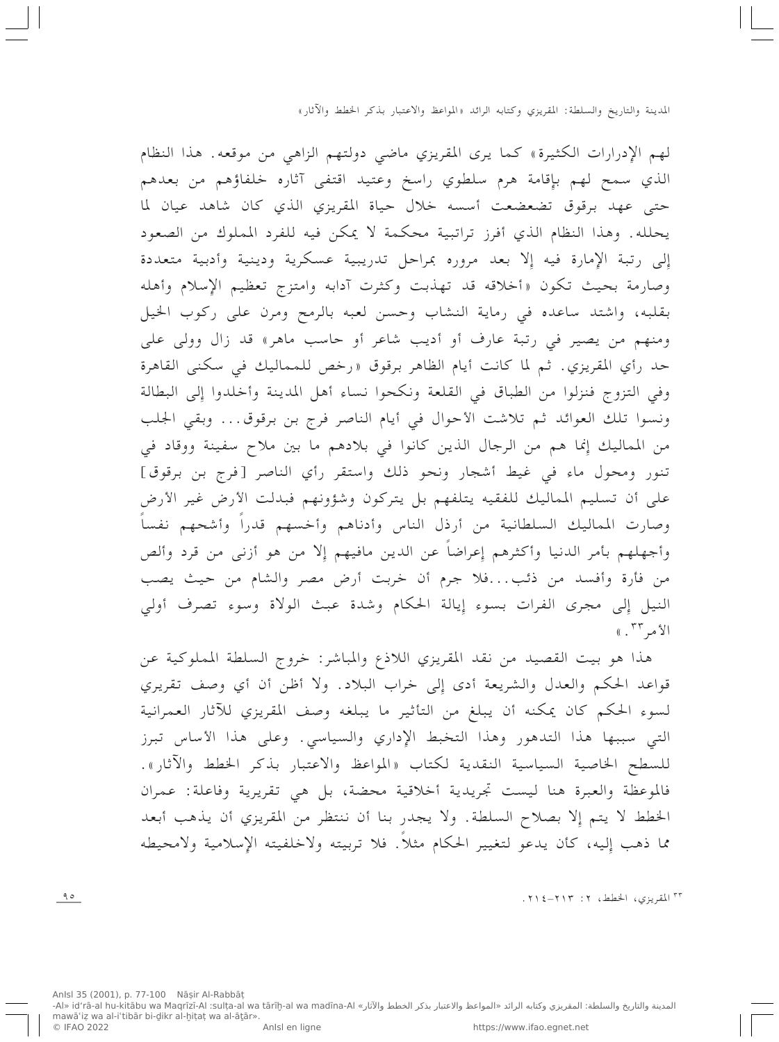لهم الإدرارات الكثيرة» كما يرى المقريزي ماضي دولتهم الزاهي من موقعه. هذا النظام الذي سمح لهم بإقامة هرم سلطوي راسخ وعتيد اقتفى آثاره خلفاؤهم من بعدهم حتى عهد برقوق تضعضعت أسسه خلال حياة المقريزي الذي كان شاهد عيان لما يحلله. وهذا النظام الذي أفرز تراتبية محكمة لا يمكن فيه للفرد المملوك من الصعود إِلى رتبة الإِمارة فيه إِلاَّ بعد مروره بمراحل تدريبية عسكرية ودينية وأدبية متعددة وصارمة بحيث تكون «أخلاقه قد تهذبت وكثرت آدابه وامتزج تعظيم الإسلام وأهله بقلبه، واشتد ساعده في رماية النشاب وحسن لعبه بالرمح ومرن على ركوب الخيل ومنهم من يصير في رتبة عارف أو أديب شاعر أو حاسب ماهر» قد زال وولي على حد رأي المقريزي. ثم لما كانت أيام الظاهر برقوق «رخص للمماليك في سكني القاهرة وفي التزوج فنزلوا من الطباق في القلعة ونكحوا نساء أهل المدينة وأخلدوا إلى البطالة ونسوا تلك العوائد ثم تلاشت الأحوال في أيام الناصر فرج بن برقوق... وبقى الجلب من المماليك إنما هم من الرجال الذين كانوا في بلادهم ما بين ملاح سفينة ووقاد في تنور ومحول ماء في غيط أشجار ونحو ذلك واستقر رأي الناصر [فرج بن برقوق] على أن تسليم المماليك للفقيه يتلفهم بل يتركون وشؤونهم فبدلت الأرض غير الأرض وصارت المماليك السلطانية من أرذل الناس وأدناهم وأخسهم قدراً وأشحهم نفساً وأجهلهم بأمر الدنيا وأكثرهم إعراضاً عن الدين مافيهم إلا من هو أزنى من قرد وألص من فأرة وأفسد من ذئب...فلا جرم أن خربت أرض مصر والشام من حيث يصب النيل إلى مجرى الفرات بسوء إيالة الحكام وشدة عبث الولاة وسوء تصرف أولى الأمر ٣٣. »

هذا هو بيت القصيد من نقد المقريزي اللاذع والمباشر: خروج السلطة المملوكية عن قواعد الحكم والعدل والشريعة أدى إِلى خراب البلاد. ولا أظن أن أي وصف تقريري لسوء الحكم كان يمكنه أن يبلغ من التأثير ما يبلغه وصف المقريزي للآثار العمرانية التبي سببها هذا التدهور وهذا التخبط الإداري والسياسي. وعلى هذا الأساس تبرز للسطح الخاصية السياسية النقدية لكتاب «المواعظ والاعتبار بذكر الخطط والأثار». فالموعظة والعبرة هنا ليست تجريدية أخلاقية محضة، بل هي تقريرية وفاعلة: عمران الخطط لا يتم إلا بصلاح السلطة. ولا يجدر بنا أن ننتظر من المقريزي أن يذهب أبعد مما ذهب إليه، كأن يدعو لتغيير الحكام مثلاً. فلا تربيته ولاخلفيته الإسلامية ولامحيطه

<sup>٣٣</sup> المقريزي، الخطط، ٢: ٢١٣-١٢.

 $90$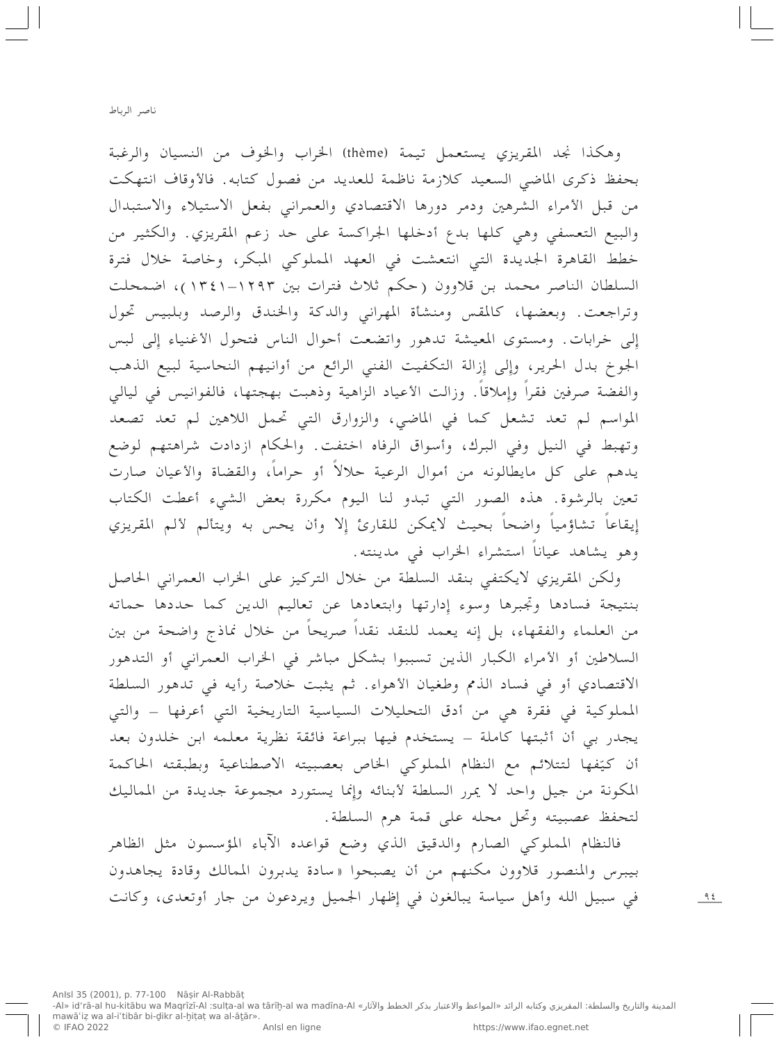وهكذا نجد المقريزي يستعمل تيمة (thème) الخراب والخوف من النسيان والرغبة بحفظ ذكري الماضي السعيد كلازمة ناظمة للعديد من فصول كتابه. فالأوقاف انتهكت من قبل الأمراء الشرهين ودمر دورها الاقتصادي والعمراني بفعل الاستيلاء والاستبدال والبيع التعسفي وهي كلها بدع أدخلها الجراكسة على حد زعم المقريزي. والكثير من خطط القاهرة الجديدة التي انتعشت في العهد المملوكي المبكر، وخاصة خلال فترة السلطان الناصر محمد بن قلاوون (حكم ثلاث فترات بين ١٢٩٣–١٣٤١)، اضمحلت وتراجعت. وبعضها، كالمقس ومنشأة المهراني والدكة والخندق والرصد وبلبيس تحول إلى خرابات. ومستوى المعيشة تدهور واتضعت أحوال الناس فتحول الأغنياء إِلى لبس الجوخ بدل الحرير، وإلى إزالة التكفيت الفني الرائع من أوانيهم النحاسية لبيع الذهب والفضة صرفين فقراً وإملاقاً. وزالت الأعياد الزاهية وذهبت بهجتها، فالفوانيس في ليالي المواسم لم تعد تشعل كما في الماضي، والزوارق التي تحمل اللاهين لم تعد تصعد وتهبط في النيل وفي البرك، وأسواق الرفاه اختفت. والحكام ازدادت شراهتهم لوضع يدهم على كل مايطالونه من أموال الرعية حلالاً أو حراماً، والقضاة والأعيان صارت تعين بالرشوة. هذه الصور التبي تبدو لنا اليوم مكررة بعض الشيء أعطت الكتاب إِيقاعاً تشاؤمياً واضحاً بحيث لايمكن للقارئ إِلا وأن يحس به ويتألم لألم المقريزي وهو يشاهد عياناً استشراء الخراب في مدينته.

ولكن المقريزي لايكتفي بنقد السلطة من خلال التركيز على الخراب العمراني الحاصل بنتيجة فسادها وتجبرها وسوء إدارتها وابتعادها عن تعاليم الدين كما حددها حماته من العلماء والفقهاء، بل إِنه يعمد للنقد نقداً صريحاً من خلال نماذج واضحة من بين السلاطين أو الأمراء الكبار الذين تسببوا بشكل مباشر في الخراب العمراني أو التدهور الاقتصادي أو في فساد الذمم وطغيان الأهواء. ثم يثبت خلاصة رأيه في تدهور السلطة المملوكية في فقرة هي من أدق التحليلات السياسية التاريخية التي أعرفها – والتي يجدر بي أن أثبتها كاملة – يستخدم فيها ببراعة فائقة نظرية معلمه ابن خلدون بعد أن كيّفها لتتلائم مع النظام المملوكي الخاص بعصبيته الاصطناعية وبطبقته الحاكمة المكونة من جيل واحد لا يمرر السلطة لأبنائه وإنما يستورد مجموعة جديدة من المماليك لتحفظ عصبيته وتحل محله على قمة هرم السلطة.

فالنظام المملوكي الصارم والدقيق الذي وضع قواعده الآباء المؤسسون مثل الظاهر بيبرس والمنصور قلاوون مكنهم من أن يصبحوا «سادة يدبرون الممالك وقادة يجاهدون في سبيل الله وأهل سياسة يبالغون في إظهار الجميل ويردعون من جار أوتعدي، وكانت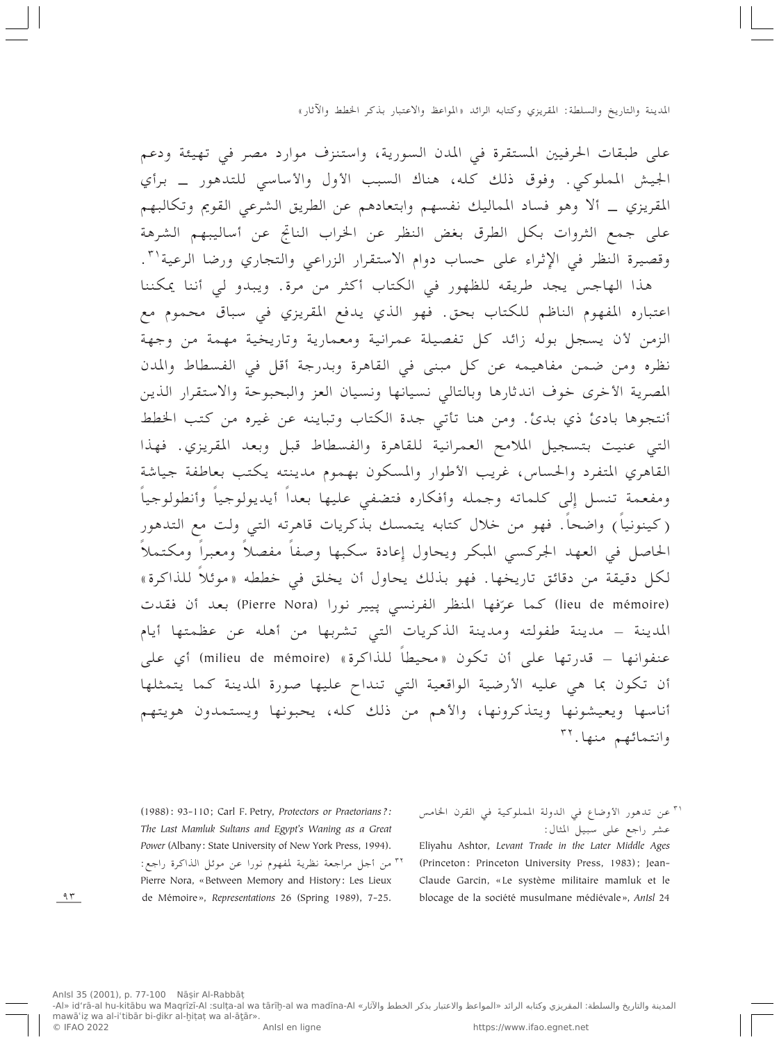على طبقات الحرفيين المستقرة في المدن السورية، واستنزف موارد مصر في تهيئة ودعم الجيش المملوكي. وفوق ذلك كله، هناك السبب الأول والأساسي للتدهور \_ برأي المقريزي \_ ألا وهو فساد المماليك نفسهم وابتعادهم عن الطريق الشرعي القويم وتكالبهم على جمع الثروات بكل الطرق بغض النظر عن الخراب الناتج عن أساليبهم الشرهة وقصيرة النظر في الإِثراء على حساب دوام الاستقرار الزراعي والتجاري ورضا الرعية'".

هذا الهاجس يجد طريقه للظهور في الكتاب أكثر من مرة. ويبدو لي أننا يمكننا اعتباره المفهوم الناظم للكتاب بحق. فهو الذي يدفع المقريزي في سباق محموم مع الزمن لأن يسجل بوله زائد كل تفصيلة عمرانية ومعمارية وتاريخية مهمة من وجهة نظره ومن ضمن مفاهيمه عن كل مبنى في القاهرة وبدرجة أقل في الفسطاط والمدن المصرية الأخرى خوف اندثارها وبالتالي نسيانها ونسيان العز والبحبوحة والاستقرار الذين أنتجوها بادئ ذي بدئ. ومن هنا تأتي جدة الكتاب وتباينه عن غيره من كتب الخطط التبي عنيت بتسجيل الملامح العمرانية للقاهرة والفسطاط قبل وبعد المقريزي. فهذا القاهري المتفرد والحساس، غريب الأطوار والمسكون بهموم مدينته يكتب بعاطفة جياشة ومفعمة تنسل إلى كلماته وجمله وأفكاره فتضفى عليها بعداً أيديولوجياً وأنطولوجياً (كينونياً) واضحاً. فهو من خلال كتابه يتمسك بذكريات قاهرته التبي ولت مع التدهور الحاصل في العهد الجركسي المبكر ويحاول إعادة سكبها وصفاً مفصلاً ومعبراً ومكتملاً لكل دقيقة من دقائق تاريخها. فهو بذلك يحاول أن يخلق في خططه «موئلاً للذاكرة» (lieu de mémoire) كما عرّفها المنظر الفرنسي پيير نورا (Pierre Nora) بعد أن فقدت المدينة – مدينة طفولته ومدينة الذكريات التبي تشربها من أهله عن عظمتها أيام عنفوانها – قدرتها على أن تكون «محيطاً للذاكرة» (milieu de mémoire) أي على أن تكون بما هي عليه الأرضية الواقعية التي تنداح عليها صورة المدينة كما يتمثلها أناسها ويعيشونها ويتذكرونها، والأهم من ذلك كله، يحبونها ويستمدون هويتهم وانتمائهم منها. ٣٢

(1988): 93-110; Carl F. Petry, Protectors or Praetorians?: The Last Mamluk Sultans and Egypt's Waning as a Great Power (Albany: State University of New York Press, 1994). <sup>٣٢</sup> من أجل مراجعة نظرية لمفهوم نورا عن موئل الذاكرة راجع: Pierre Nora, «Between Memory and History: Les Lieux de Mémoire», Representations 26 (Spring 1989), 7-25.

"أ عن تدهور الأوضاع في الدولة المملوكية في القرن الخامس عشر راجع على سبيل المثال:

Eliyahu Ashtor, Levant Trade in the Later Middle Ages (Princeton: Princeton University Press, 1983); Jean-Claude Garcin, «Le système militaire mamluk et le blocage de la société musulmane médiévale», AnIsl 24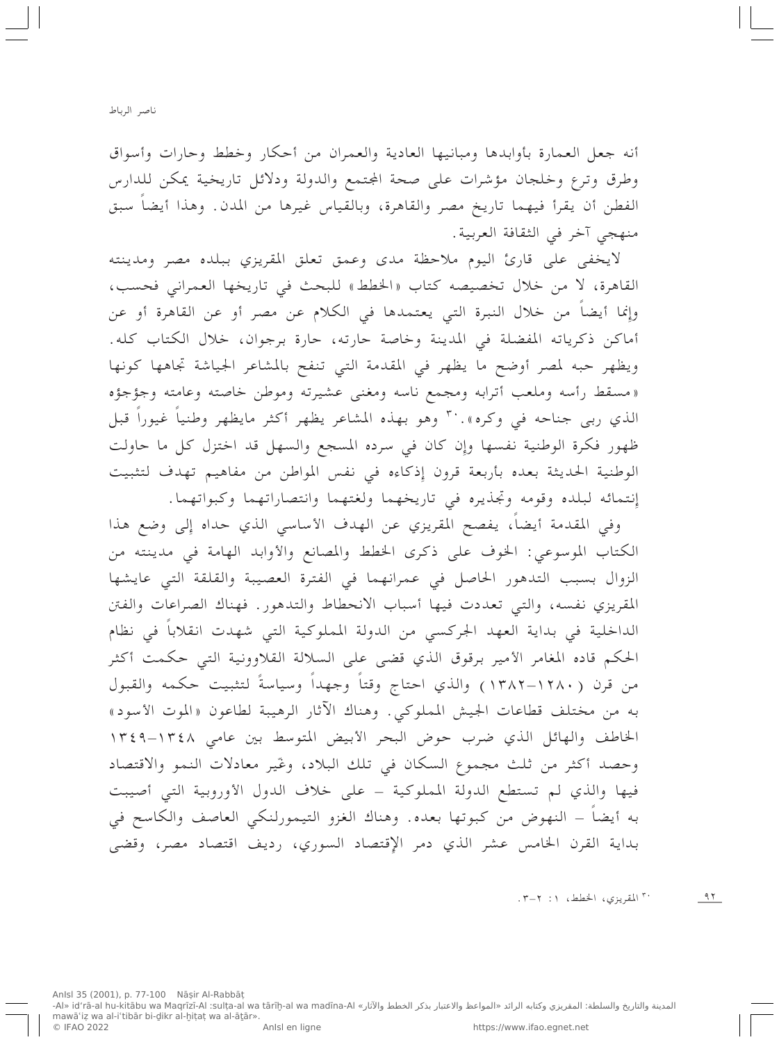أنه جعل العمارة بأوابدها ومبانيها العادية والعمران من أحكار وخطط وحارات وأسواق وطرق وترع وخلجان مؤشرات على صحة المجتمع والدولة ودلائل تاريخية يمكن للدارس الفطن أن يقرأ فيهما تاريخ مصر والقاهرة، وبالقياس غيرها من المدن. وهذا أيضاً سبق منهجي آخر في الثقافة العربية.

لايخفى على قارئ اليوم ملاحظة مدى وعمق تعلق المقريزي ببلده مصر ومدينته القاهرة، لا من خلال تخصيصه كتاب «الخطط» للبحث في تاريخها العمراني فحسب، وإِنما أيضاً من خلال النبرة التي يعتمدها في الكلام عن مصر أو عن القاهرة أو عن أماكن ذكرياته المفضلة في المدينة وخاصة حارته، حارة برجوان، خلال الكتاب كله. ويظهر حبه لمصر أوضح ما يظهر في المقدمة التبي تنفح بالمشاعر الجياشة تجاهها كونها «مسقط رأسه وملعب أترابه ومجمع ناسه ومغنى عشيرته وموطن خاصته وعامته وجؤجؤه الذي ربي جناحه في وكره». `` وهو بهذه المشاعر يظهر أكثر مايظهر وطنياً غيوراً قبل ظهور فكرة الوطنية نفسها وإن كان في سرده المسجع والسهل قد اختزل كل ما حاولت الوطنية الحديثة بعده بأربعة قرون إذكاءه في نفس المواطن من مفاهيم تهدف لتثبيت إنتمائه لبلده وقومه وتجذيره في تاريخهما ولغتهما وانتصاراتهما وكبواتهما.

وفي المقدمة أيضاً، يفصح المقريزي عن الهدف الأساسي الذي حداه إِلى وضع هذا الكتاب الموسوعي: الخوف على ذكرى الخطط والمصانع والأوابد الهامة في مدينته من الزوال بسبب التدهور الحاصل في عمرانهما في الفترة العصيبة والقلقة التي عايشها المقريزي نفسه، والتي تعددت فيها أسباب الانحطاط والتدهور . فهناك الصراعات والفتن الداخلية في بداية العهد الجركسي من الدولة المملوكية التي شهدت انقلاباً في نظام الحكم قاده المغامر الأمير برقوق الذي قضى على السلالة القلاوونية التي حكمت أكثر من قرن (١٢٨٠–١٣٨٢) والذي احتاج وقتاً وجهداً وسياسةً لتثبيت حكمه والقبول به من مختلف قطاعات الجيش المملوكي. وهناك الآثار الرهيبة لطاعون «الموت الأسود» الخاطف والهائل الذي ضرب حوض البحر الأبيض المتوسط بين عامى ١٣٤٨–١٣٤٩ وحصد أكثر من ثلث مجموع السكان في تلك البلاد، وغير معادلات النمو والاقتصاد فيها والذي لم تستطع الدولة المملوكية – على خلاف الدول الأوروبية التي أصيبت به أيضاً – النهوض من كبوتها بعده. وهناك الغزو التيمورلنكي العاصف والكاسح في بداية القرن الخامس عشر الذي دمر الإقتصاد السوري، رديف اقتصاد مصر، وقضى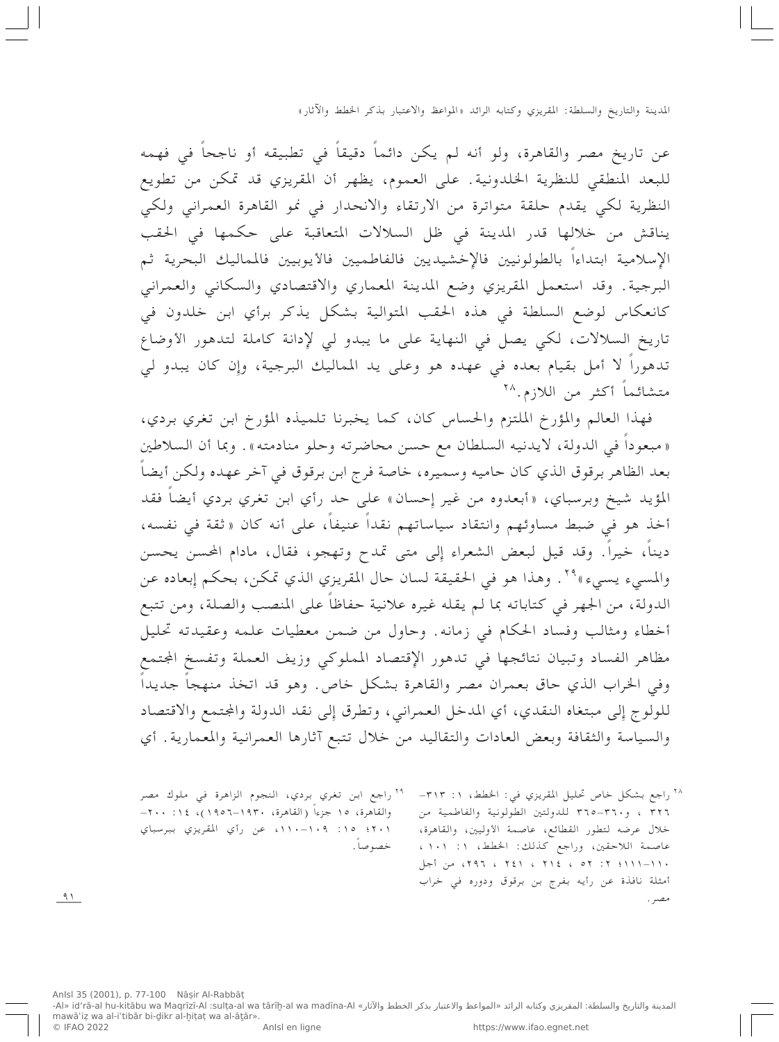عن تاريخ مصر والقاهرة، ولو أنه لم يكن دائماً دقيقاً في تطبيقه أو ناجحاً في فهمه للبعد المنطقي للنظرية الخلدونية. على العموم، يظهر أن المقريزي قد تمكن من تطويع النظرية لكي يقدم حلقة متواترة من الارتقاء والانحدار في نمو القاهرة العمراني ولكي يناقش من خلالها قدر المدينة في ظل السلالات المتعاقبة على حكمها في الحقب الإسلامية ابتداءاً بالطولونيين فالإخشيديين فالفاطميين فالأيوبيين فالمماليك البحرية ثم البرجية. وقد استعمل المقريزي وضع المدينة المعماري والاقتصادي والسكاني والعمراني كانعكاس لوضع السلطة في هذه الحقب المتوالية بشكل يذكر برأي ابن خلدون في تاريخ السلالات، لكي يصل في النهاية على ما يبدو لي لإدانة كاملة لتدهور الأوضاع تدهوراً لا أمل بقيام بعده في عهده هو وعلى يد المماليك البرجية، وإن كان يبدو لي متشائماً أكثر من اللازم. ٢٨

فهذا العالم والمؤرخ الملتزم والحساس كان، كما يخبرنا تلميذه المؤرخ ابن تغري بردي، «مبعوداً في الدولة، لايدنيه السلطان مع حسن محاضرته وحلو منادمته». وبما أن السلاطين بعد الظاهر برقوق الذي كان حاميه وسميره، خاصة فرج ابن برقوق في آخر عهده ولكن أيضاً المؤيد شيخ وبرسباي، «أبعدوه من غير إحسان» على حد رأي ابن تغري بردي أيضاً فقد أخذ هو في ضبط مساوئهم وانتقاد سياساتهم نقداً عنيفاً، على أنه كان «ثقة في نفسه، ديناً، خيراً. وقد قيل لبعض الشعراء إلى متى تمدح وتهجو، فقال، مادام المحسن يحسن والمسيء يسيء »°'. وهذا هو في الحقيقة لسان حال المقريزي الذي تمكن، بحكم إبعاده عن الدولة، من الجهر في كتاباته بما لم يقله غيره علانية حفاظاً على المنصب والصلة، ومن تتبع أخطاء ومثالب وفساد الحكام في زمانه. وحاول من ضمن معطيات علمه وعقيدته تحليل مظاهر الفساد وتبيان نتائجها في تدهور الإقتصاد المملوكي وزيف العملة وتفسخ الجتمع وفي الخراب الذي حاق بعمران مصر والقاهرة بشكل خاص. وهو قد اتخذ منهجاً جديداً للولوج إِلى مبتغاه النقدي، أي المدخل العمراني، وتطرق إِلى نقد الدولة والمجتمع والاقتصاد والسياسة والثقافة وبعض العادات والتقاليد من خلال تتبع آثارها العمرانية والمعمارية. أي

> <sup>٢٨</sup> راجع بشكل خاص تحليل المقريزي في: الخطط، ١: ٣١٣-٣٢٦ ، و٣٦٠-٣٦٥ للدولتين الطولونية والفاطمية من خلال عرضه لتطور القطائع، عاصمة الأوليين، والقاهرة، عاصمة اللاحقين، وراجع كذلك: الخطط، ١: ١٠١، ١١٠–١١١١؛ ٢: ٥٢ ، ٢٩٤، ٢٤١، ٢٩٦، من أجل أمثلة نافذة عن رأيه بفرج بن برقوق ودوره في خراب مصد .

<sup>79</sup> راجع ابن تغري بردي، النجوم الزاهرة في ملوك مصر والقاهرة، ١٥ جزءاً (القاهرة، ١٩٣٠–١٩٥٦)، ١٤٪ ٢٠٠-٢٠١؛ ١٥: ١٠٩-١١٠١، عن رأى المقريزى ببرسباي خصوصاً.

 $91$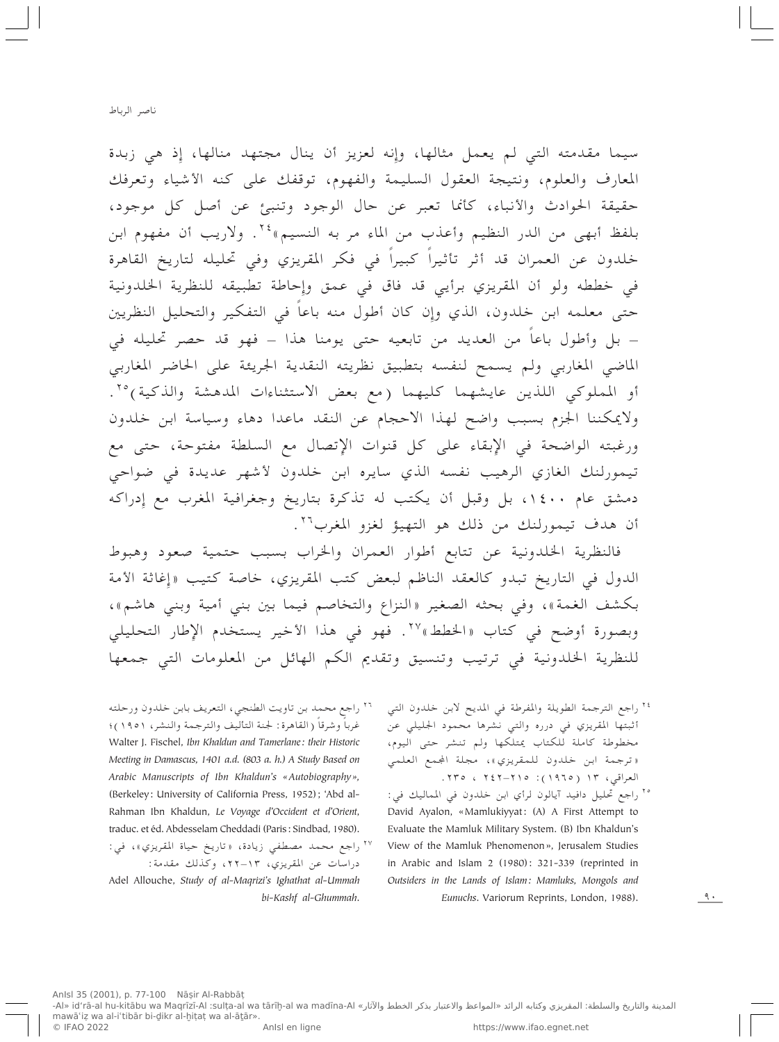سيما مقدمته التي لم يعمل مثالها، وإنه لعزيز أن ينال مجتهد منالها، إذ هي زبدة المعارف والعلوم، ونتيجة العقول السليمة والفهوم، توقفك على كنه الأشياء وتعرفك حقيقة الحوادث والأنباء، كأنما تعبر عن حال الوجود وتنبئ عن أصل كل موجود، بلفظ أبهى من الدر النظيم وأعذب من الماء مر به النسيم» ٢٤. ولاريب أن مفهوم ابن خلدون عن العمران قد أثر تأثيراً كبيراً في فكر المقريزي وفي تحليله لتاريخ القاهرة في خططه ولو أن المقريزي برأيي قد فاق في عمق وإحاطة تطبيقه للنظرية الخلدونية حتى معلمه ابن خلدون، الذي وإِن كان أطول منه باعاً في التفكير والتحليل النظريين – بل وأطول باعاً من العديد من تابعيه حتى يومنا هذا – فهو قد حصر تحليله في الماضى المغاربي ولم يسمح لنفسه بتطبيق نظريته النقدية الجريئة على الحاضر المغاربي أو المملوكي اللذين عايشهما كليهما (مع بعض الاستثناءات المدهشة والذكية)<sup>٢٥</sup>. ولايمكننا الجزم بسبب واضح لهذا الاحجام عن النقد ماعدا دهاء وسياسة ابن خلدون ورغبته الواضحة في الإبقاء على كل قنوات الإتصال مع السلطة مفتوحة، حتى مع تيمورلنك الغازي الرهيب نفسه الذي سايره ابن خلدون لأشهر عديدة في ضواحى دمشق عام ۱٤۰۰، بل وقبل أن يكتب له تذكرة بتاريخ وجغرافية المغرب مع إدراكه أن هدف تيمورلنك من ذلك هو التهيؤ لغزو المغرب<sup>٢٦</sup>.

فالنظرية الخلدونية عن تتابع أطوار العمران والخراب بسبب حتمية صعود وهبوط الدول في التاريخ تبدو كالعقد الناظم لبعض كتب المقريزي، خاصة كتيب «إغاثة الأمة بكشف الغمة»، وفي بحثه الصغير «النزاع والتخاصم فيما بين بني أمية وبني هاشم»، وبصورة أوضح في كتاب «الخطط» ٢٧. فهو في هذا الأخير يستخدم الإطار التحليلي للنظرية الخلدونية في ترتيب وتنسيق وتقديم الكم الهائل من المعلومات التي جمعها

> ٢٤ راجع الترجمة الطويلة والمفرطة في المديح لابن خلدون التي أثبتها المقريزي في درره والتي نشرها محمود الجليلي عن مخطوطة كاملة للكتاب يمتلكها ولم تنشر حتى اليوم، «ترجمة ابن خلدون للمقريزي»، مجلة المجمع العلمي العراقبي، ١٣ (١٩٦٥): ٢٤٢-٢٤٢ ، ٢٣٥.

> <sup>٢٥</sup> راجع تحليل دافيد آيالون لرأي ابن خلدون في المماليك في: David Ayalon, «Mamlukiyyat: (A) A First Attempt to Evaluate the Mamluk Military System. (B) Ibn Khaldun's View of the Mamluk Phenomenon», Jerusalem Studies in Arabic and Islam 2 (1980): 321-339 (reprinted in Outsiders in the Lands of Islam: Mamluks, Mongols and Eunuchs. Variorum Reprints, London, 1988).

٢٦ راجع محمد بن تاويت الطنجي، التعريف بابن خلدون ورحلته غرباً وشرقاً (القاهرة : لجنة التأليف والترجمة والنشر، ١٩٥١)؛ Walter J. Fischel, Ibn Khaldun and Tamerlane: their Historic Meeting in Damascus, 1401 a.d. (803 a. h.) A Study Based on Arabic Manuscripts of Ibn Khaldun's «Autobiography», (Berkeley: University of California Press, 1952); 'Abd al-Rahman Ibn Khaldun, Le Voyage d'Occident et d'Orient, traduc. et éd. Abdesselam Cheddadi (Paris: Sindbad, 1980).

\*٢ راجع محمد مصطفى زيادة، «تاريخ حياة المقريزي»، في: دراسات عن المقريزي، ١٣–٢٢، وكذلك مقدمة: Adel Allouche, Study of al-Maqrizi's Ighathat al-Ummah bi-Kashf al-Ghummah.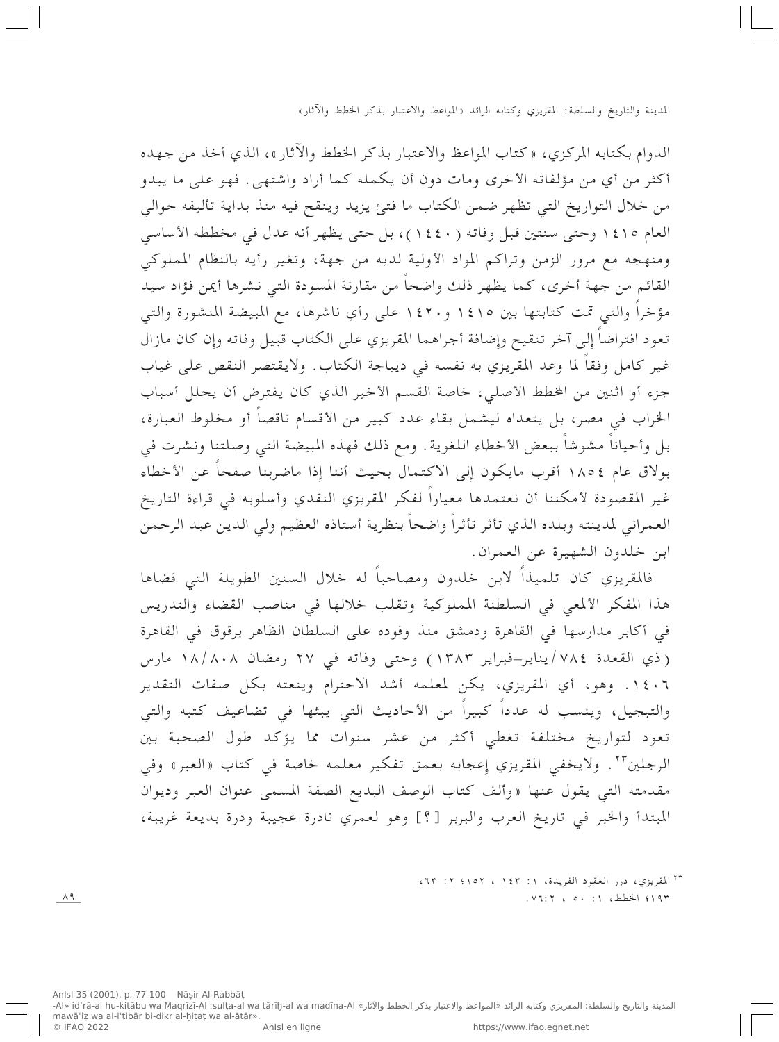الدوام بكتابه المركزي، « كتاب المواعظ والاعتبار بذكر الخطط والآثار »، الذي أخذ من جهده أكثر من أي من مؤلفاته الأخرى ومات دون أن يكمله كما أراد واشتهى. فهو على ما يبدو من خلال التواريخ التي تظهر ضمن الكتاب ما فتئ يزيد وينقح فيه منذ بداية تأليفه حوالي العام ١٤١٥ وحتى سنتين قبل وفاته (١٤٤٠)، بل حتى يظهر أنه عدل في مخططه الأساسي ومنهجه مع مرور الزمن وتراكم المواد الأولية لديه من جهة، وتغير رأيه بالنظام المملوكي القائم من جهة أخرى، كما يظهر ذلك واضحاً من مقارنة المسودة التبي نشرها أيمن فؤاد سيد مؤخراً والتبي تمت كتابتها بين ١٤١٥ و١٤٢٠ على رأي ناشرها، مع المبيضة المنشورة والتبي تعود افتراضاً إلى آخر تنقيح وإضافة أجراهما المقريزي على الكتاب قبيل وفاته وإن كان مازال غير كامل وفقاً لما وعد المقريزي به نفسه في ديباجة الكتاب. ولايقتصر النقص على غياب جزء أو اثنين من الخطط الأصلي، خاصة القسم الأخير الذي كان يفترض أن يحلل أسباب الخراب في مصر، بل يتعداه ليشمل بقاء عدد كبير من الأقسام ناقصاً أو مخلوط العبارة، بل وأحياناً مشوشاً ببعض الأخطاء اللغوية . ومع ذلك فهذه المبيضة التي وصلتنا ونشرت في بولاق عام ١٨٥٤ أقرب مايكون إِلى الاكتمال بحيث أننا إِذا ماضربنا صفحاً عن الأخطاء غير المقصودة لأمكننا أن نعتمدها معياراً لفكر المقريزي النقدي وأسلوبه في قراءة التاريخ العمراني لمدينته وبلده الذي تأثر تأثراً واضحاً بنظرية أستاذه العظيم ولي الدين عبد الرحمن ابن خلدون الشهيرة عن العمران.

فالمقريزي كان تلميذاً لابن خلدون ومصاحباً له خلال السنين الطويلة التبي قضاها هذا المفكر الألمعي في السلطنة المملوكية وتقلب خلالها في مناصب القضاء والتدريس في أكابر مدارسها في القاهرة ودمشق منذ وفوده على السلطان الظاهر برقوق في القاهرة (ذي القعدة ٧٨٤/يناير-فبراير ١٣٨٣) وحتى وفاته في ٢٧ رمضان ١٨/٨٠٨ مارس ١٤٠٦. وهو، أي المقريزي، يكن لمعلمه أشد الاحترام وينعته بكل صفات التقدير والتبجيل، وينسب له عدداً كبيراً من الأحاديث التي يبثها في تضاعيف كتبه والتي تعود لتواريخ مختلفة تغطى أكثر من عشر سنوات مما يؤكد طول الصحبة بين الرجلين<sup>٢٣</sup>. ولايخفي المقريزي إعجابه بعمق تفكير معلمه خاصة في كتاب «العبر» وفي مقدمته التي يقول عنها «وألف كتاب الوصف البديع الصفة المسمى عنوان العبر وديوان المبتدأ والخبر في تاريخ العرب والبربر [؟] وهو لعمري نادرة عجيبة ودرة بديعة غريبة،

> <sup>٢٣</sup> المقريزي، درر العقود الفريدة، ١: ١٤٣ ، ١٥٢؛ ٢: ٦٣، ١٩٣؛ الخطط، ١: ٥٠، ٧٦:٢،

 $\Lambda$  9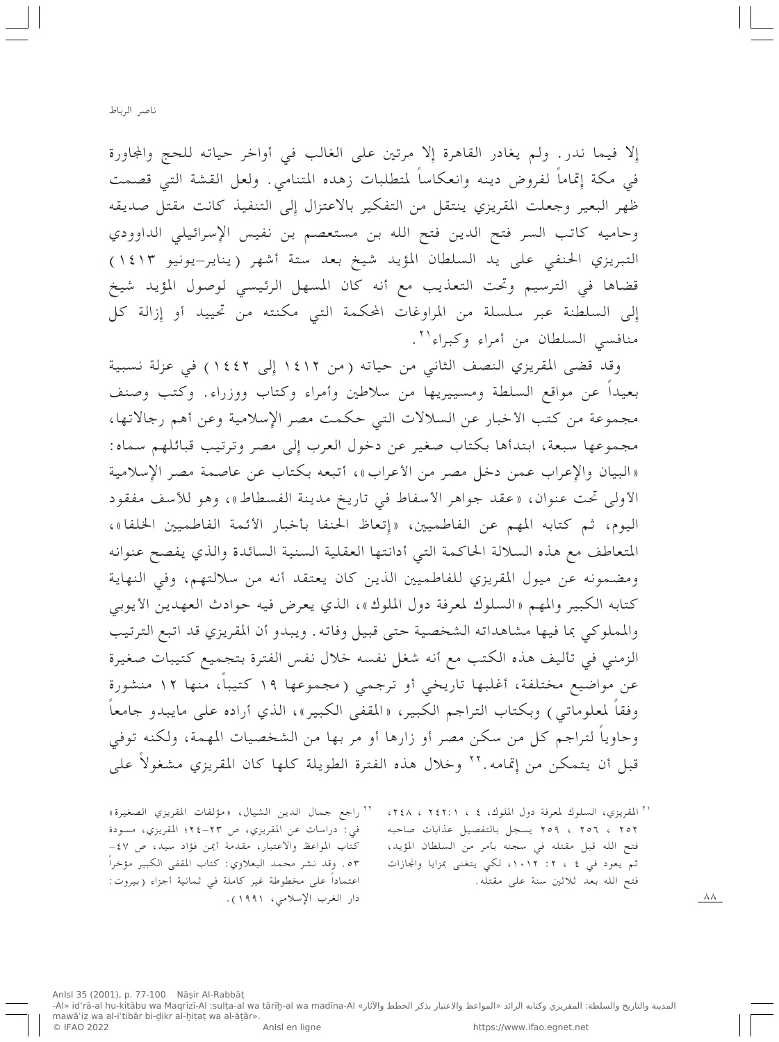إلا فيما ندر . ولم يغادر القاهرة إلا مرتين على الغالب في أواخر حياته للحج والمجاورة في مكة إتماماً لفروض دينه وانعكاساً لمتطلبات زهده المتنامي. ولعل القشة التي قصمت ظهر البعير وجعلت المقريزي ينتقل من التفكير بالاعتزال إِلى التنفيذ كانت مقتل صديقه وحاميه كاتب السر فتح الدين فتح الله بن مستعصم بن نفيس الإسرائيلي الداوودي التبريزي الحنفي على يد السلطان المؤيد شيخ بعد ستة أشهر (يناير-يونيو ١٤١٣) قضاها في الترسيم وتحت التعذيب مع أنه كان المسهل الرئيسي لوصول المؤيد شيخ إِلى السلطنة عبر سلسلة من المراوغات المحكمة التي مكنته من تحييد أو إِزالة كل منافسي السلطان من أمراء وكبراء'''.

وقد قضى المقريزي النصف الثاني من حياته (من ١٤١٢ إلى ١٤٤٢) في عزلة نسبية بعيداً عن مواقع السلطة ومسييريها من سلاطين وأمراء وكتاب ووزراء. وكتب وصنف مجموعة من كتب الأخبار عن السلالات التي حكمت مصر الإسلامية وعن أهم رجالاتها، مجموعها سبعة، ابتدأها بكتاب صغير عن دخول العرب إلى مصر وترتيب قبائلهم سماه: «البيان والإعراب عمن دخل مصر من الأعراب»، أتبعه بكتاب عن عاصمة مصر الإسلامية الأولى تحت عنوان، «عقد جواهر الأسفاط في تاريخ مدينة الفسطاط»، وهو للأسف مفقود اليوم، ثم كتابه المهم عن الفاطميين، «إتعاظ الحنفا بأخبار الأئمة الفاطميين الخلفا»، المتعاطف مع هذه السلالة الحاكمة التي أدانتها العقلية السنية السائدة والذي يفصح عنوانه ومضمونه عن ميول المقريزي للفاطميين الذين كان يعتقد أنه من سلالتهم، وفي النهاية كتابه الكبير والمهم «السلوك لمعرفة دول الملوك»، الذي يعرض فيه حوادث العهدين الأيوبي والمملوكي بما فيها مشاهداته الشخصية حتى قبيل وفاته. ويبدو أن المقريزي قد اتبع الترتيب الزمني في تأليف هذه الكتب مع أنه شغل نفسه خلال نفس الفترة بتجميع كتيبات صغيرة عن مواضيع مختلفة، أغلبها تاريخي أو ترجمي (مجموعها ١٩ كتيباً، منها ١٢ منشورة وفقاً لمعلوماتي ) وبكتاب التراجم الكبير، «المقفى الكبير»، الذي أراده على مايبدو جامعاً وحاوياً لتراجم كل من سكن مصر أو زارها أو مر بها من الشخصيات المهمة، ولكنه توفي قبل أن يتمكن من إتمامه.''' وخلال هذه الفترة الطويلة كلها كان المقريزي مشغولا على

<sup>٢٢</sup> راجع جمال الدين الشيال، «مؤلفات المقريزي الصغيرة» ' " المقريزي، السلوك لمعرفة دول الملوك، ٤ ، ٢٤٢:١ ، ٢٤٨، في: دراسات عن المقريزي، ص ٢٣-٢٤؛ المقريزي، مسودة ٢٥٢ ، ٢٥٦ ، ٢٥٩ يسجل بالتفصيل عذابات صاحبه فتح الله قبل مقتله في سجنه بأمر من السلطان المؤيد، كتاب المواعظ والاعتبار، مقدمة أيمن فؤاد سيد، ص ٤٧-٥٣. وقد نشر محمد اليعلاوي: كتاب المقفى الكبير مؤخرا ثم یعود فی ٤ ، ٢: ١٠١٢، لکی یتغنی بمزایا وانجازات اعتماداً على مخطوطة غير كاملة في ثمانية أجزاء (بيروت: فتح الله بعد ثلاثين سنة على مقتله. دار الغرب الإسلامي، ١٩٩١).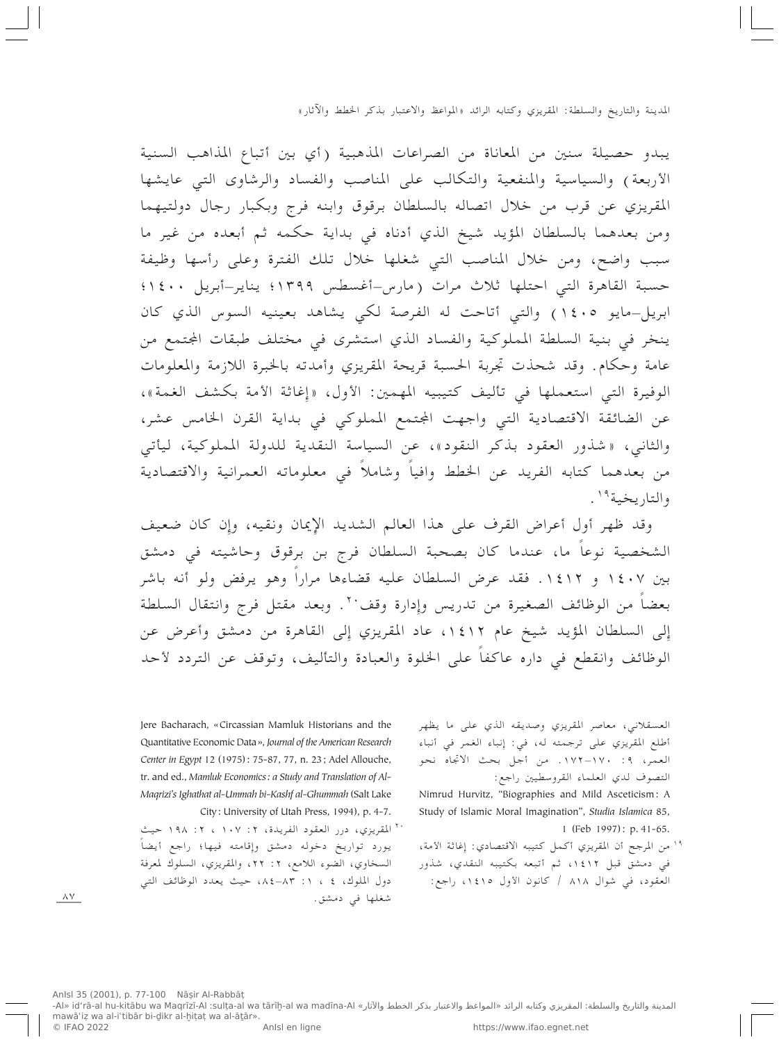يبدو حصيلة سنين من المعاناة من الصراعات المذهبية (أي بين أتباع المذاهب السنية الأربعة) والسياسية والمنفعية والتكالب على المناصب والفساد والرشاوي التبي عايشها المقريزي عن قرب من خلال اتصاله بالسلطان برقوق وابنه فرج وبكبار رجال دولتيهما ومن بعدهما بالسلطان المؤيد شيخ الذي أدناه في بداية حكمه ثم أبعده من غير ما سبب واضح، ومن خلال المناصب التي شغلها خلال تلك الفترة وعلى رأسها وظيفة حسبة القاهرة التبي احتلها ثلاث مرات (مارس-أغسطس ١٣٩٩؛ يناير-أبريل ١٤٠٠؛ ابريل–مايو ١٤٠٥) والتي أتاحت له الفرصة لكي يشاهد بعينيه السوس الذي كان ينخر في بنية السلطة المملوكية والفساد الذي استشرى في مختلف طبقات الجتمع من عامة وحكام. وقد شحذت تجربة الحسبة قريحة المقريزي وأمدته بالخبرة اللازمة والمعلومات الوفيرة التي استعملها في تأليف كتيبيه المهمين: الأول، «إغاثة الأمة بكشف الغمة»، عن الضائقة الاقتصادية التي واجهت الجتمع المملوكي في بداية القرن الخامس عشر، والثاني، «شذور العقود بذكر النقود»، عن السياسة النقدية للدولة المملوكية، ليأتي من بعدهما كتابه الفريد عن الخطط وافياً وشاملاً في معلوماته العمرانية والاقتصادية والتاريخية<sup>١٩</sup>.

وقد ظهر أول أعراض القرف على هذا العالم الشديد الإيمان ونقيه، وإن كان ضعيف الشخصية نوعاً ما، عندما كان بصحبة السلطان فرج بن برقوق وحاشيته في دمشق بين ١٤٠٧ و ١٤١٢. فقد عرض السلطان عليه قضاءها مراراً وهو يرفض ولو أنه باشر بعضاً من الوظائف الصغيرة من تدريس وإِدارة وقف `` . وبعد مقتل فرج وانتقال السلطة إِلى السلطان المؤيد شيخ عام ١٤١٢، عاد المقريزي إِلى القاهرة من دمشق وأعرض عن الوظائف وانقطع في داره عاكفاً على الخلوة والعبادة والتأليف، وتوقف عن التردد لأحد

> العسقلاني، معاصر المقريزي وصديقه الذي على ما يظهر أطلع المقريزي على ترجمته له، في: إِنباء الغمر في أنباء العمر، ٩: ١٧٠–١٧٢. من أجل بحث الاتجاه نحو التصوف لدي العلماء القروسطيين راجع:

- Nimrud Hurvitz, "Biographies and Mild Asceticism: A Study of Islamic Moral Imagination", Studia Islamica 85, 1 (Feb 1997): p. 41-65.
- <sup>19</sup> من المرجح أن المقريزي أكمل كتيبه الاقتصادي: إغاثة الأمة، في دمشق قبل ١٤١٢، ثم أتبعه بكتيبه النقدي، شذور العقود، في شوال ٨١٨ / كانون الأول ١٤١٥، راجع:

Jere Bacharach, «Circassian Mamluk Historians and the Quantitative Economic Data», Journal of the American Research Center in Egypt 12 (1975): 75-87, 77, n. 23; Adel Allouche, tr. and ed., Mamluk Economics: a Study and Translation of Al-Magrizi's Ighathat al-Ummah bi-Kashf al-Ghummah (Salt Lake City: University of Utah Press, 1994), p. 4-7.

<sup>٢٠</sup> المقريزي، درر العقود الفريدة، ٢: ١٠٧ ، ٢: ١٩٨ حيث يورد تواريخ دخوله دمشق وإقامته فيها؛ راجع أيضاً السخاوي، الضوء اللامع، ٢: ٢٢، والمقريزي، السلوك لمعرفة دول الملوك، ٤ ، ١: ٨٣-٨٤، حيث يعدد الوظائف التي شغلها في دمشق.

 $\wedge$  Y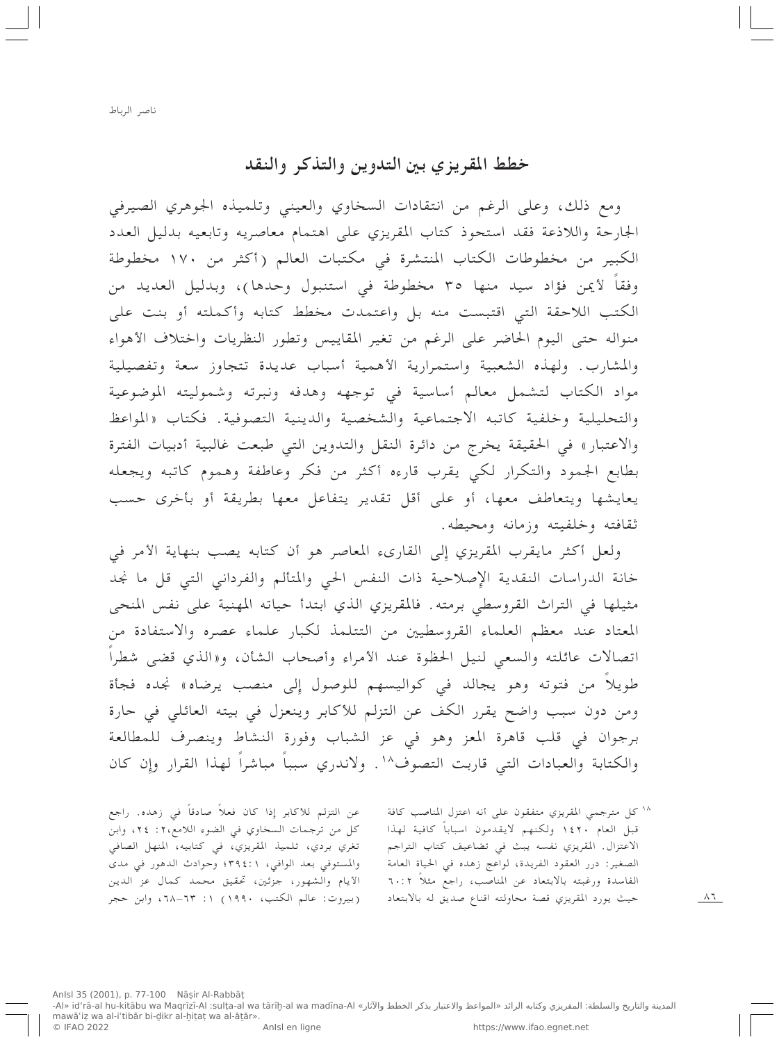## خطط المقريزي بين التدوين والتذكر والنقد

ومع ذلك، وعلى الرغم من انتقادات السخاوي والعيني وتلميذه الجوهري الصيرفي الجارحة واللاذعة فقد استحوذ كتاب المقريزي على اهتمام معاصريه وتابعيه بدليل العدد الكبير من مخطوطات الكتاب المنتشرة في مكتبات العالم (أكثر من ١٧٠ مخطوطة وفقا لأيمن فؤاد سيد منها ٣٥ مخطوطة في استنبول وحدها)، وبدليل العديد من الكتب اللاحقة التي اقتبست منه بل واعتمدت مخطط كتابه وأكملته أو بنت على منواله حتى اليوم الحاضر على الرغم من تغير المقاييس وتطور النظريات واختلاف الأهواء والمشارب. ولهذه الشعبية واستمرارية الأهمية أسباب عديدة تتجاوز سعة وتفصيلية مواد الكتاب لتشمل معالم أساسية في توجهه وهدفه ونبرته وشموليته الموضوعية والتحليلية وخلفية كاتبه الاجتماعية والشخصية والدينية التصوفية. فكتاب «المواعظ والاعتبار» في الحقيقة يخرج من دائرة النقل والتدوين التي طبعت غالبية أدبيات الفترة بطابع الجمود والتكرار لكبي يقرب قارءه أكثر من فكر وعاطفة وهموم كاتبه ويجعله يعايشها ويتعاطف معها، أو على أقل تقدير يتفاعل معها بطريقة أو بأخرى حسب ثقافته وخلفيته وزمانه ومحيطه.

ولعل أكثر مايقرب المقريزي إِلى القارىء المعاصر هو أن كتابه يصب بنهاية الأمر في خانة الدراسات النقدية الإصلاحية ذات النفس الحي والمتألم والفرداني التي قل ما نجد مثيلها في التراث القروسطى برمته. فالمقريزي الذي ابتدأ حياته المهنية على نفس المنحى المعتاد عند معظم العلماء القروسطيين من التتلمذ لكبار علماء عصره والاستفادة من اتصالات عائلته والسعى لنيل الحظوة عند الأمراء وأصحاب الشأن، و«الذي قضى شطراً طويلاً من فتوته وهو يجالد في كواليسهم للوصول إلى منصب يرضاه» نجده فجأة ومن دون سبب واضح يقرر الكف عن التزلم للأكابر وينعزل في بيته العائلي في حارة برجوان في قلب قاهرة المعز وهو في عز الشباب وفورة النشاط وينصرف للمطالعة والكتابة والعبادات التبي قاربت التصوف ١٠ . ولاندري سبباً مباشراً لهذا القرار وإن كان

عن التزلم للأكابر إذا كان فعلاً صادقاً في زهده. راجع كل من ترجمات السخاوي في الضوء اللامع،٢: ٢٤، وابن تغري بردي، تلميذ المقريزي، في كتابيه، المنهل الصافي والمستوفى بعد الوافي، ٣٩٤:١٠ وحوادث الدهور في مدى الأيام والشهور، جزئين، تحقيق محمد كمال عز الدين (بيروت: عالم الكتب، ١٩٩٠) ١: ٦٣-٦٨، وابن حجر 1⁄ كل مترجمي المقريزي متفقون على أنه اعتزل المناصب كافة قبل العام ١٤٢٠ ولكنهم لايقدمون اسباباً كافية لهذا الاعتزال. المقريزي نفسه يبث في تضاعيف كتاب التراجم الصغير: درر العقود الفريدة، لواعج زهده في الحياة العامة الفاسدة ورغبته بالابتعاد عن المناصب، راجع مثلاً ٦٠:٢ حيث يورد المقريزي قصة محاولته اقناع صديق له بالابتعاد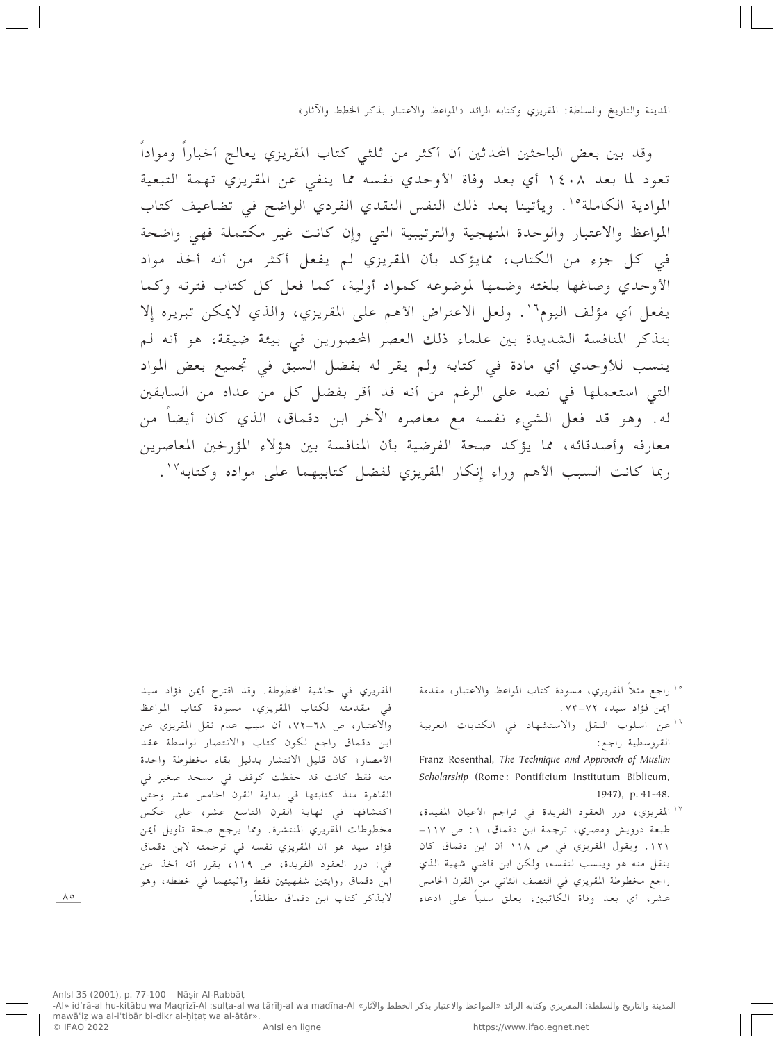وقد بين بعض الباحثين المحدثين أن أكثر من ثلثي كتاب المقريزي يعالج أخباراً ومواداً تعود لما بعد ١٤٠٨ أي بعد وفاة الأوحدي نفسه مما ينفي عن المقريزي تهمة التبعية الموادية الكاملة°'. ويأتينا بعد ذلك النفس النقدي الفردي الواضح في تضاعيف كتاب المواعظ والاعتبار والوحدة المنهجية والترتيبية التي وإن كانت غير مكتملة فهي واضحة في كل جزء من الكتاب، ممايؤكد بأن المقريزي لم يفعل أكثر من أنه أخذ مواد الأوحدي وصاغها بلغته وضمها لموضوعه كمواد أولية، كما فعل كل كتاب فترته وكما يفعل أي مؤلف اليوم ```. ولعل الاعتراض الأهم على المقريزي، والذي لايمكن تبريره إلا بتذكر المنافسة الشديدة بين علماء ذلك العصر المحصورين في بيئة ضيقة، هو أنه لم ينسب للأوحدي أي مادة في كتابه ولم يقر له بفضل السبق في تجميع بعض المواد التبي استعملها في نصه على الرغم من أنه قد أقر بفضل كل من عداه من السابقين له. وهو قد فعل الشيء نفسه مع معاصره الآخر ابن دقماق، الذي كان أيضاً من معارفه وأصدقائه، مما يؤكد صحة الفرضية بأن المنافسة بين هؤلاء المؤرخين المعاصرين ربما كانت السبب الأهم وراء إنكار المقريزي لفضل كتابيهما على مواده وكتابه ١٧.

- <sup>1</sup>° راجع مثلاً المقريزي، مسودة كتاب المواعظ والاعتبار، مقدمة أيمن فؤاد سيد، ٧٢–٧٣.
- <sup>١٦</sup> عن اسلوب النقل والاستشهاد في الكتابات العربية القروسطية راجع:

Franz Rosenthal, The Technique and Approach of Muslim Scholarship (Rome: Pontificium Institutum Biblicum, 1947), p. 41-48.

١٧ المقريزي، درر العقود الفريدة في تراجم الأعيان المفيدة، طبعة درويش ومصري، ترجمة ابن دقماق، ١: ص ١١٧-١٢١. ويقول المقريزي في ص ١١٨ أن ابن دقماق كان ينقل منه هو وينسب لنفسه، ولكن ابن قاضي شهبة الذي راجع مخطوطة المقريزي في النصف الثاني من القرن الخامس عشر، أي بعد وفاة الكاتبين، يعلق سلباً على ادعاء

المقريزي في حاشية الخطوطة. وقد اقترح أيمن فؤاد سيد في مقدمته لكتاب المقريزي، مسودة كتاب المواعظ والاعتبار، ص ٦٨–٧٢، أن سبب عدم نقل المقريزي عن ابن دقماق راجع لكون كتاب «الانتصار لواسطة عقد الأمصار» كان قليل الانتشار بدليل بقاء مخطوطة واحدة منه فقط كانت قد حفظت كوقف في مسجد صغير في القاهرة منذ كتابتها في بداية القرن الخامس عشر وحتى اكتشافها في نهاية القرن التاسع عشر، على عكس مخطوطات المقريزي المنتشرة. ومما يرجح صحة تأويل أيمن فؤاد سيد هو أن المقريزي نفسه في ترجمته لابن دقماق في: درر العقود الفريدة، ص ١١٩، يقرر أنه أخذ عن ابن دقماق روايتين شفهيتين فقط وأثبتهما في خططه، وهو لايذكر كتاب ابن دقماق مطلقاً.

 $\wedge \circ$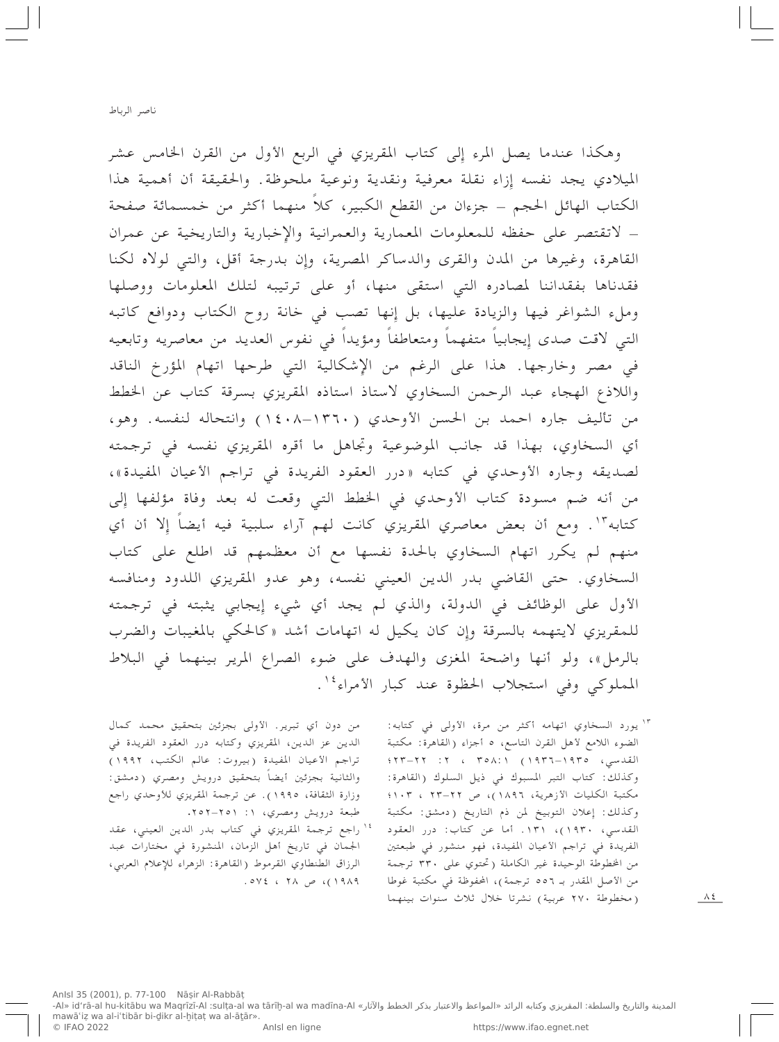وهكذا عندما يصل المرء إلى كتاب المقريزي في الربع الأول من القرن الخامس عشر الميلادي يجد نفسه إزاء نقلة معرفية ونقدية ونوعية ملحوظة. والحقيقة أن أهمية هذا الكتاب الهائل الحجم – جزءان من القطع الكبير، كلاً منهما أكثر من خمسمائة صفحة – لاتقتصر على حفظه للمعلومات المعمارية والعمرانية والإخبارية والتاريخية عن عمران القاهرة، وغيرها من المدن والقرى والدساكر المصرية، وإِن بدرجة أقل، والتبي لولاه لكنا فقدناها بفقداننا لمصادره التي استقى منها، أو على ترتيبه لتلك المعلومات ووصلها وملء الشواغر فيها والزيادة عليها، بل إِنها تصب في خانة روح الكتاب ودوافع كاتبه التي لاقت صدى إِيجابياً متفهماً ومتعاطفاً ومؤيداً في نفوس العديد من معاصريه وتابعيه في مصر وخارجها. هذا على الرغم من الإشكالية التي طرحها اتهام المؤرخ الناقد واللاذع الهجاء عبد الرحمن السخاوي لاستاذ استاذه المقريزي بسرقة كتاب عن الخطط من تأليف جاره احمد بن الحسن الأوحدي (١٣٦٠-١٤٠٨) وانتحاله لنفسه. وهو، أي السخاوي، بهذا قد جانب الموضوعية وتجاهل ما أقره المقريزي نفسه في ترجمته لصديقه وجاره الأوحدي في كتابه «درر العقود الفريدة في تراجم الأعيان المفيدة»، من أنه ضم مسودة كتاب الأوحدي في الخطط التي وقعت له بعد وفاة مؤلفها إلى كتابه"'. ومع أن بعض معاصري المقريزي كانت لهم آراء سلبية فيه أيضاً إِلا أن أي منهم لم يكرر اتهام السخاوي بالحدة نفسها مع أن معظمهم قد اطلع على كتاب السخاوي. حتى القاضي بدر الدين العيني نفسه، وهو عدو المقريزي اللدود ومنافسه الأول على الوظائف في الدولة، والذي لم يجد أي شيء إيجابي يثبته في ترجمته للمقريزي لايتهمه بالسرقة وإِن كان يكيل له اتهامات أشد «كالحكي بالمغيبات والضرب بالرمل»، ولو أنها واضحة المغزى والهدف على ضوء الصراع المرير بينهما في البلاط المملوكي وفي استجلاب الحظوة عند كبار الأمراء ''.

> "' يورد السخاوي اتهامه أكثر من مرة، الأولى في كتابه: الضوء اللامع لأهل القرن التاسع، ٥ أجزاء (القاهرة: مكتبة القدسي، ١٩٣٥-١٩٣٦) ٢: ٢٥٨:١ : ٢٢-٢٢؟؛ وكذلك: كتاب التبر المسبوك في ذيل السلوك (القاهرة: مكتبة الكليات الأزهرية، ١٨٩٦)، ص ٢٢–٢٢ ، ١٠٣؛ وكذلك: إعلان التوبيخ لمن ذم التاريخ (دمشق: مكتبة القدسي، ١٩٣٠)، ١٣١. أما عن كتاب: درر العقود الفريدة في تراجم الأعيان المفيدة، فهو منشور في طبعتين من المخطوطة الوحيدة غير الكاملة (تحتوي على ٣٣٠ ترجمة من الأصل المقدر بـ ٥٥٦ ترجمة)، المحفوظة في مكتبة غوطا (مخطوطة ٢٧٠ عربية) نشرتا خلال ثلاث سنوات بينهما

من دون أي تبرير. الأولى بجزئين بتحقيق محمد كمال الدين عز الدين، المقريزي وكتابه درر العقود الفريدة في تراجم الأعيان المفيدة (بيروت: عالم الكتب، ١٩٩٢) والثانية بجزئين أيضاً بتحقيق درويش ومصري (دمشق: وزارة الثقافة، ١٩٩٥). عن ترجمة المقريزي للأوحدي راجع طبعة درويش ومصري، ١: ٢٥١–٢٥٢.

راجع ترجمة المقريزي في كتاب بدر الدين العيني، عقد الجمان في تاريخ أهل الزمان، المنشورة في مختارات عبد الرزاق الطنطاوي القرموط (القاهرة: الزهراء للإعلام العربي، . ٥٧٤ ، ٢٨ ص ٢٨ ، ٥٧٤.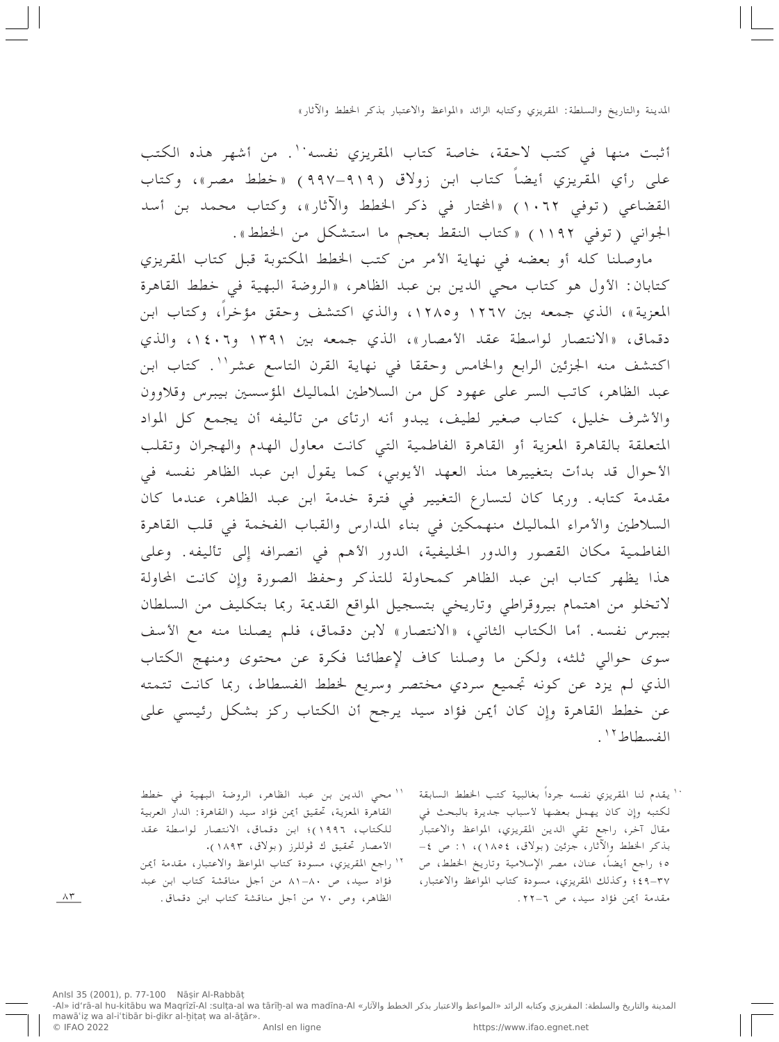أثبت منها في كتب لاحقة، خاصة كتاب المقريزي نفسه``. من أشهر هذه الكتب على رأي المقريزي أيضاً كتاب ابن زولاق (٩١٩-٩٩٧) «خطط مصر»، وكتاب القضاعي (توفي ١٠٦٢) «المختار في ذكر الخطط والآثار»، وكتاب محمد بن أسد الجواني (توفي ١١٩٢) «كتاب النقط بعجم ما استشكل من الخطط».

ماوصلنا كله أو بعضه في نهاية الأمر من كتب الخطط المكتوبة قبل كتاب المقريزي كتابان: الأول هو كتاب محى الدين بن عبد الظاهر، «الروضة البهية في خطط القاهرة المعزية»، الذي جمعه بين ١٢٦٧ و١٢٨٥، والذي اكتشف وحقق مؤخراً، وكتاب ابن دقماق، «الانتصار لواسطة عقد الأمصار»، الذي جمعه بين ١٣٩١ و١٤٠٦، والذي اكتشف منه الجزئين الرابع والخامس وحققا في نهاية القرن التاسع عشر''. كتاب ابن عبد الظاهر، كاتب السر على عهود كل من السلاطين المماليك المؤسسين بيبرس وقلاوون والأشرف خليل، كتاب صغير لطيف، يبدو أنه ارتأى من تأليفه أن يجمع كل المواد المتعلقة بالقاهرة المعزية أو القاهرة الفاطمية التبي كانت معاول الهدم والهجران وتقلب الأحوال قد بدأت بتغييرها منذ العهد الأيوبي، كما يقول ابن عبد الظاهر نفسه في مقدمة كتابه. وربما كان لتسارع التغيير في فترة خدمة ابن عبد الظاهر، عندما كان السلاطين والأمراء المماليك منهمكين في بناء المدارس والقباب الفخمة في قلب القاهرة الفاطمية مكان القصور والدور الخليفية، الدور الأهم في انصرافه إلى تأليفه. وعلى هذا يظهر كتاب ابن عبد الظاهر كمحاولة للتذكر وحفظ الصورة وإن كانت المحاولة لاتخلو من اهتمام بيروقراطي وتاريخي بتسجيل المواقع القديمة ربما بتكليف من السلطان بيبرس نفسه. أما الكتاب الثاني، «الانتصار» لابن دقماق، فلم يصلنا منه مع الأسف سوى حوالى ثلثه، ولكن ما وصلنا كاف لإعطائنا فكرة عن محتوى ومنهج الكتاب الذي لم يزد عن كونه تجميع سردي مختصر وسريع لخطط الفسطاط، ربما كانت تتمته عن خطط القاهرة وإن كان أيمن فؤاد سيد يرجح أن الكتاب ركز بشكل رئيسي على الفسطاط ''.

> `` يقدم لنا المقريزي نفسه جرداً بغالبية كتب الخطط السابقة لكتبه وإن كان يهمل بعضها لأسباب جديرة بالبحث في مقال آخر، راجع تقى الدين المقريزي، المواعظ والاعتبار بذكر الخطط والآثار، جزئين (بولاق، ١٨٥٤)، ١: ص ٤-ه؛ راجع أيضا، عنان، مصر الإِسلامية وتاريخ الخطط، ص ٣٧-٤٩؛ وكذلك المقريزي، مسودة كتاب المواعظ والاعتبار، مقدمة أيمن فؤاد سيد، ص ٦-٢٢.

`` محى الدين بن عبد الظاهر، الروضة البهية في خطط القاهرة المعزية، تحقيق أيمن فؤاد سيد (القاهرة: الدار العربية للكتاب، ١٩٩٦)؛ ابن دقماق، الانتصار لواسطة عقد الأمصار تحقيق ك ڤوللرز (بولاق، ١٨٩٣).

" راجع المقريزي، مسودة كتاب المواعظ والاعتبار، مقدمة أيمن فؤاد سيد، ص ٨٠-٨١ من أجل مناقشة كتاب ابن عبد الظاهر، وص ٧٠ من أجل مناقشة كتاب ابن دقماق.

 $\wedge$   $\uparrow$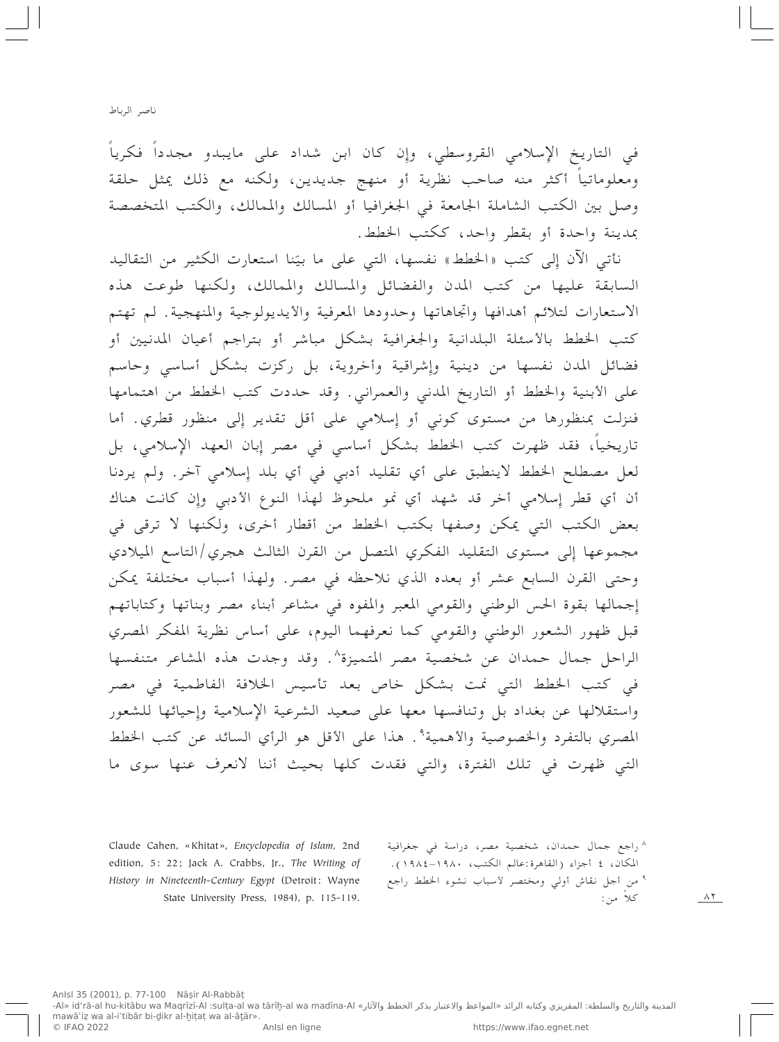ناصر الرباط

في التاريخ الإسلامي القروسطي، وإِن كان ابن شداد على مايبدو مجدداً فكرياً ومعلوماتياً أكثر منه صاحب نظرية أو منهج جديدين، ولكنه مع ذلك يمثل حلقة وصل بين الكتب الشاملة الجامعة في الجغرافيا أو المسالك والممالك، والكتب المتخصصة بمدينة واحدة أو بقطر واحد، ككتب الخطط.

نأتي الآن إِلى كتب «الخطط» نفسها، التي على ما بيّنا استعارت الكثير من التقاليد السابقة عليها من كتب المدن والفضائل والمسالك والممالك، ولكنها طوعت هذه الاستعارات لتلائم أهدافها واتجاهاتها وحدودها المعرفية والأيديولوجية والمنهجية. لم تهتم كتب الخطط بالأسئلة البلدانية والجغرافية بشكل مباشر أو بتراجم أعيان المدنيين أو فضائل المدن نفسها من دينية وإشراقية وأخروية، بل ركزت بشكل أساسى وحاسم على الأبنية والخطط أو التاريخ المدنى والعمراني. وقد حددت كتب الخطط من اهتمامها فنزلت بمنظورها من مستوى كوني أو إسلامي على أقل تقدير إلى منظور قطري. أما تاريخياً، فقد ظهرت كتب الخطط بشكل أساسي في مصر إِبان العهد الإِسلامي، بل لعل مصطلح الخطط لاينطبق على أي تقليد أدبى في أي بلد إِسلامي آخر. ولم يردنا أن أي قطر إسلامي أخر قد شهد أي نمو ملحوظ لهذا النوع الأدبي وإن كانت هناك بعض الكتب التي يمكن وصفها بكتب الخطط من أقطار أخرى، ولكنها لا ترقى في مجموعها إلى مستوى التقليد الفكري المتصل من القرن الثالث هجري/التاسع الميلادي وحتى القرن السابع عشر أو بعده الذي نلاحظه في مصر. ولهذا أسباب مختلفة يمكن إجمالها بقوة الحس الوطني والقومي المعبر والمفوه في مشاعر أبناء مصر وبناتها وكتاباتهم قبل ظهور الشعور الوطنبي والقومي كما نعرفهما اليوم، على أساس نظرية المفكر المصري الراحل جمال حمدان عن شخصية مصر المتميزة^. وقد وجدت هذه المشاعر متنفسها في كتب الخطط التي نمت بشكل خاص بعد تأسيس الخلافة الفاطمية في مصر واستقلالها عن بغداد بل وتنافسها معها على صعيد الشرعية الإسلامية وإحيائها للشعور المصري بالتفرد والخصوصية والأهمية°. هذا على الأقل هو الرأي السائد عن كتب الخطط التبي ظهرت في تلك الفترة، والتبي فقدت كلها بحيث أننا لانعرف عنها سوى ما

Claude Cahen, «Khitat», Encyclopedia of Islam, 2nd edition, 5: 22; Jack A. Crabbs, Jr., The Writing of History in Nineteenth-Century Egypt (Detroit: Wayne State University Press, 1984), p. 115-119.

^ راجع جمال حمدان، شخصية مصر، دراسة في جغرافية المكان، ٤ أجزاء (القاهرة:عالم الكتب، ١٩٨٠–١٩٨٤). ° من أجل نقاش أولى ومختصر لأسباب نشوء الخطط راجع کلاً من: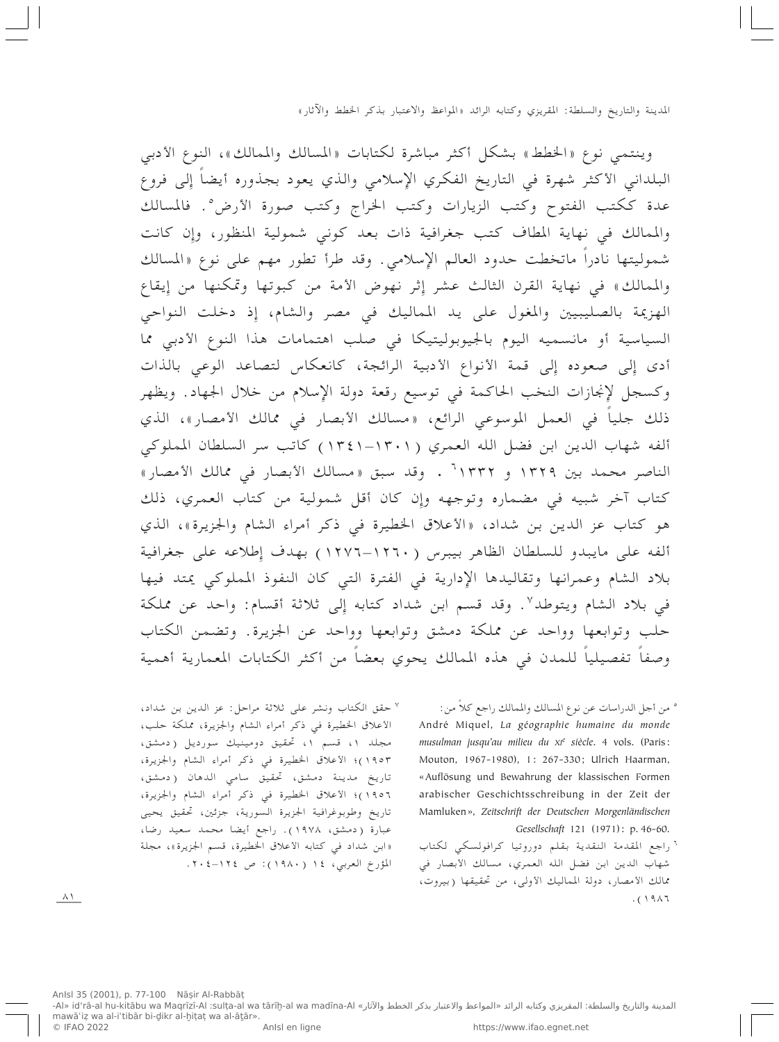وينتمي نوع «الخطط» بشكل أكثر مباشرة لكتابات «المسالك والممالك»، النوع الأدبي البلداني الأكثر شهرة في التاريخ الفكري الإسلامي والذي يعود بجذوره أيضاً إِلى فروع عدة ككتب الفتوح وكتب الزيارات وكتب الخراج وكتب صورة الأرض°. فالمسالك والممالك في نهاية المطاف كتب جغرافية ذات بعد كوني شمولية المنظور، وإِن كانت شموليتها نادراً ماتخطت حدود العالم الإِسلامي. وقد طرأ تطور مهم على نوع «المسالك والممالك» في نهاية القرن الثالث عشر إِثر نهوض الأمة من كبوتها وتمكنها من إِيقاع الهزيمة بالصليبيين والمغول على يد المماليك في مصر والشام، إِذ دخلت النواحي السياسية أو مانسميه اليوم بالجيوبوليتيكا في صلب اهتمامات هذا النوع الأدبي مما أدى إلى صعوده إلى قمة الأنواع الأدبية الرائجة، كانعكاس لتصاعد الوعى بالذات وكسجل لإنجازات النخب الحاكمة في توسيع رقعة دولة الإسلام من خلال الجهاد. ويظهر ذلك جلياً في العمل الموسوعي الرائع، «مسالك الأبصار في ممالك الأمصار»، الذي ألفه شهاب الدين ابن فضل الله العمري (١٣٠١–١٣٤١) كاتب سر السلطان المملوكي الناصر محمد بين ١٣٢٩ و ١٣٣٢<sup>٦</sup> . وقد سبق «مسالك الأبصار في ممالك الأمصار» كتاب آخر شبيه في مضماره وتوجهه وإن كان أقل شمولية من كتاب العمري، ذلك هو كتاب عز الدين بن شداد، «الأعلاق الخطيرة في ذكر أمراء الشام والجزيرة»، الذي ألفه على مايبدو للسلطان الظاهر بيبرس (١٢٦٠–١٢٧٦) بهدف إطلاعه على جغرافية بلاد الشام وعمرانها وتقاليدها الإدارية في الفترة التي كان النفوذ المملوكي يمتد فيها في بلاد الشام ويتوطد ". وقد قسم ابن شداد كتابه إلى ثلاثة أقسام: واحد عن مملكة حلب وتوابعها وواحد عن مملكة دمشق وتوابعها وواحد عن الجزيرة. وتضمن الكتاب وصفاً تفصيلياً للمدن في هذه الممالك يحوي بعضاً من أكثر الكتابات المعمارية أهمية

> ° من أجل الدراسات عن نوع المسالك والممالك راجع كلا من: André Miquel, La géographie humaine du monde musulman jusqu'au milieu du XIe siècle. 4 vols. (Paris: Mouton, 1967-1980), 1: 267-330; Ulrich Haarman, «Auflösung und Bewahrung der klassischen Formen arabischer Geschichtsschreibung in der Zeit der Mamluken», Zeitschrift der Deutschen Morgenländischen Gesellschaft 121 (1971): p. 46-60.

> ` راجع المقدمة النقدية بقلم دوروتيا كرافولسكي لكتاب شهاب الدين ابن فضل الله العمري، مسالك الأبصار في ممالك الأمصار، دولة المماليك الأولى، من تحقيقها (بيروت،  $.()917$

<sup>٧</sup> حقق الكتاب ونشر على ثلاثة مراحل: عز الدين بن شداد، الأعلاق الخطيرة في ذكر أمراء الشام والجزيرة، مملكة حلب، مجلد ۱، قسم ۱، تحقیق دومینیك سورديل (دمشق، ١٩٥٣)؛ الأعلاق الخطيرة في ذكر أمراء الشام والجزيرة، تاريخ مدينة دمشق، تحقيق سامي الدهان (دمشق، ١٩٥٦)؛ الأعلاق الخطيرة في ذكر أمراء الشام والجزيرة، تاريخ وطوبوغرافية الجزيرة السورية، جزئين، تحقيق يحيى عبارة (دمشق، ١٩٧٨). راجع أيضا محمد سعيد رضا، «ابن شداد في كتابه الأعلاق الخطيرة، قسم الجزيرة»، مجلة المؤرخ العربي، ١٤ (١٩٨٠): ص ١٢٤-٢٠٤.

 $\lambda$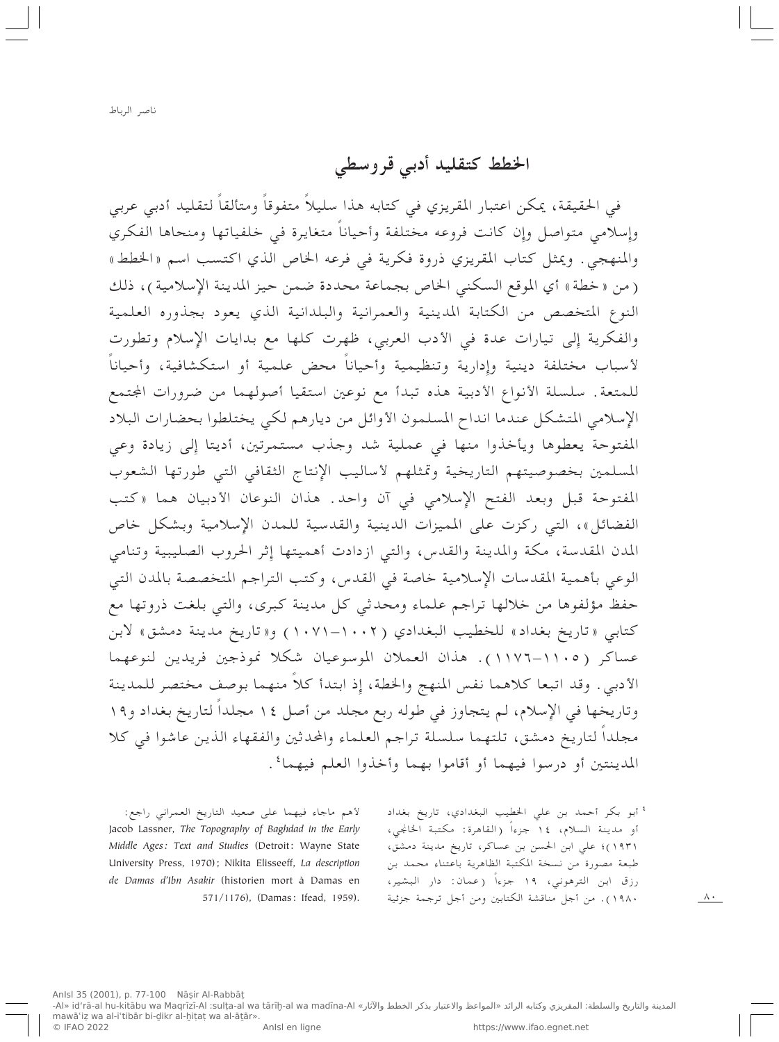الخطط كتقليد أدبى قروسطى

في الحقيقة، يمكن اعتبار المقريزي في كتابه هذا سليلاً متفوقاً ومتألقاً لتقليد أدبي عربي وإسلامي متواصل وإن كانت فروعه مختلفة وأحياناً متغايرة في خلفياتها ومنحاها الفكري والمنهجي . ويمثل كتاب المقريزي ذروة فكرية في فرعه الخاص الذي اكتسب اسم «الخطط» (من «خطة» أي الموقع السكني الخاص بجماعة محددة ضمن حيز المدينة الإسلامية)، ذلك النوع المتخصص من الكتابة المدينية والعمرانية والبلدانية الذي يعود بجذوره العلمية والفكرية إِلى تيارات عدة في الأدب العربي، ظهرت كلها مع بدايات الإسلام وتطورت لأسباب مختلفة دينية وإدارية وتنظيمية وأحياناً محض علمية أو استكشافية، وأحياناً للمتعة. سلسلة الأنواع الأدبية هذه تبدأ مع نوعين استقيا أصولهما من ضرورات المجتمع الإسلامي المتشكل عندما انداح المسلمون الأوائل من ديارهم لكي يختلطوا بحضارات البلاد المفتوحة يعطوها ويأخذوا منها في عملية شد وجذب مستمرتين، أديتا إلى زيادة وعي المسلمين بخصوصيتهم التاريخية وتمثلهم لأساليب الإنتاج الثقافي التي طورتها الشعوب المفتوحة قبل وبعد الفتح الإسلامي في آن واحد . هذان النوعان الأدبيان هما «كتب الفضائل»، التي ركزت على المميزات الدينية والقدسية للمدن الإسلامية وبشكل خاص المدن المقدسة، مكة والمدينة والقدس، والتي ازدادت أهميتها إثر الحروب الصليبية وتنامي الوعي بأهمية المقدسات الإسلامية خاصة في القدس، وكتب التراجم المتخصصة بالمدن التي حفظ مؤلفوها من خلالها تراجم علماء ومحدثي كل مدينة كبرى، والتي بلغت ذروتها مع كتابي «تاريخ بغداد» للخطيب البغدادي (١٠٠٢–١٠٧١) و«تاريخ مدينة دمشق» لابن عساكر (١١٠٥–١١٧٦). هذان العملان الموسوعيان شكلا نموذجين فريدين لنوعهما الأدبي . وقد اتبعا كلاهما نفس المنهج والخطة، إذ ابتدأ كلاً منهما بوصف مختصر للمدينة وتاريخها في الإِسلام، لم يتجاوز في طوله ربع مجلد من أصل ١٤ مجلداً لتاريخ بغداد و١٩ مجلداً لتاريخ دمشق، تلتهما سلسلة تراجم العلماء والمحدثين والفقهاء الذين عاشوا في كلا المدينتين أو درسوا فيهما أو أقاموا بهما وأخذوا العلم فيهما'.

لأهم ماجاء فيهما على صعيد التاريخ العمراني راجع: Jacob Lassner, The Topography of Baghdad in the Early Middle Ages: Text and Studies (Detroit: Wayne State University Press, 1970); Nikita Elisseeff, La description de Damas d'Ibn Asakir (historien mort à Damas en 571/1176), (Damas: Ifead, 1959).

<sup>٤</sup> أبو بكر أحمد بن على الخطيب البغدادي، تاريخ بغداد أو مدينة السلام، ١٤ جزءاً (القاهرة: مكتبة الخانجي، (١٩٣١)؛ على ابن الحسن بن عساكر، تاريخ مدينة دمشق، طبعة مصورة من نسخة المكتبة الظاهرية باعتناء محمد بن رزق ابن الترهوني، ١٩ جزءاً (عمان: دار البشير، ١٩٨٠). من أجل مناقشة الكتابين ومن أجل ترجمة جزئية

 $\wedge$ .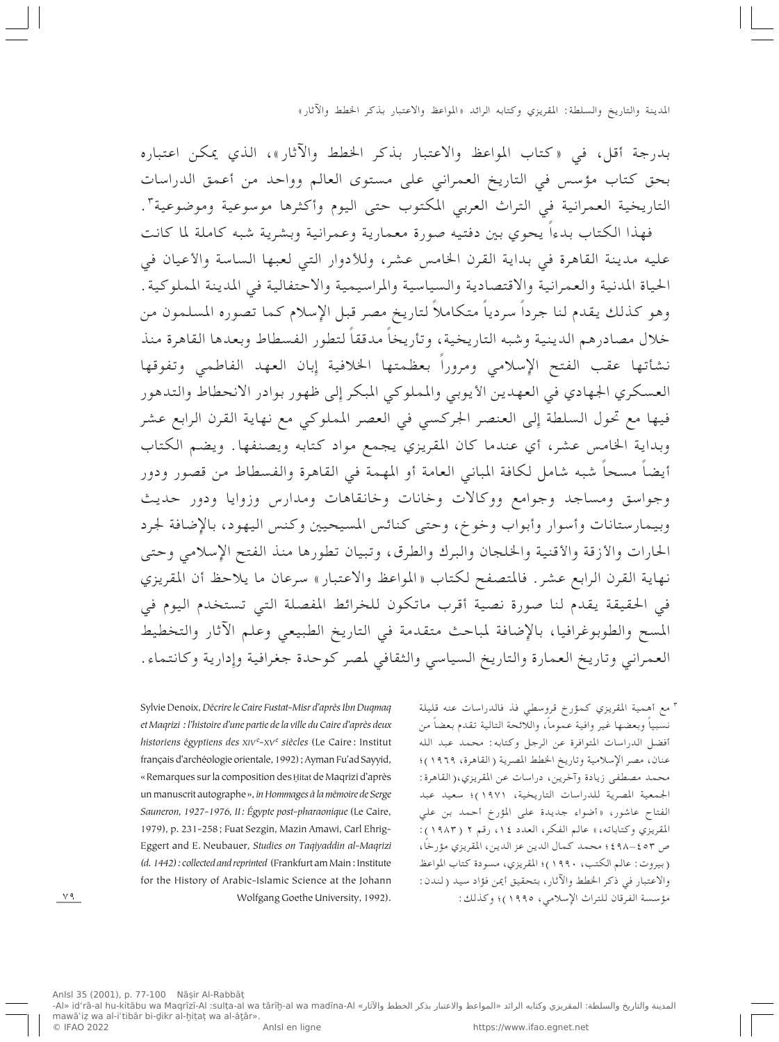بدرجة أقل، في «كتاب المواعظ والاعتبار بذكر الخطط والآثار»، الذي يمكن اعتباره بحق كتاب مؤسس في التاريخ العمراني على مستوى العالم وواحد من أعمق الدراسات التاريخية العمرانية في التراث العربي المكتوب حتى اليوم وأكثرها موسوعية وموضوعية".

فهذا الكتاب بدءاً يحوي بين دفتيه صورة معمارية وعمرانية وبشرية شبه كاملة لما كانت عليه مدينة القاهرة في بداية القرن الخامس عشر، وللأدوار التي لعبها الساسة والأعيان في الحياة المدنية والعمرانية والاقتصادية والسياسية والمراسيمية والاحتفالية في المدينة المملوكية . وهو كذلك يقدم لنا جرداً سردياً متكاملاً لتاريخ مصر قبل الإِسلام كما تصوره المسلمون من خلال مصادرهم الدينية وشبه التاريخية، وتأريخاً مدققاً لتطور الفسطاط وبعدها القاهرة منذ نشأتها عقب الفتح الإسلامي ومروراً بعظمتها الخلافية إبان العهد الفاطمي وتفوقها العسكري الجهادي في العهدين الأيوبي والمملوكي المبكر إلى ظهور بوادر الانحطاط والتدهور فيها مع تحول السلطة إلى العنصر الجركسي في العصر المملوكي مع نهاية القرن الرابع عشر وبداية الخامس عشر، أي عندما كان المقريزي يجمع مواد كتابه ويصنفها. ويضم الكتاب أيضاً مسحاً شبه شامل لكافة المباني العامة أو المهمة في القاهرة والفسطاط من قصور ودور وجواسق ومساجد وجوامع ووكالات وخانات وخانقاهات ومدارس وزوايا ودور حديث وبيمارستانات وأسوار وأبواب وخوخ، وحتى كنائس المسيحيين وكنس اليهود، بالإضافة لجرد الحارات والأزقة والأقنية والخلجان والبرك والطرق، وتبيان تطورها منذ الفتح الإسلامي وحتى نهاية القرن الرابع عشر. فالمتصفح لكتاب «المواعظ والاعتبار» سرعان ما يلاحظ أن المقريزي في الحقيقة يقدم لنا صورة نصية أقرب ماتكون للخرائط المفصلة التي تستخدم اليوم في المسح والطوبوغرافيا، بالإِضافة لمباحث متقدمة في التاريخ الطبيعي وعلم الآثار والتخطيط العمراني وتاريخ العمارة والتاريخ السياسي والثقافي لمصر كوحدة جغرافية وإدارية وكانتماء.

> <sup>٣</sup> مع أهمية المقريزي كمؤرخ قروسطى فذ فالدراسات عنه قليلة نسبياً وبعضها غير وافية عموماً، واللائحة التالية تقدم بعضاً من أفضل الدراسات المتوافرة عن الرجل وكتابه: محمد عبد الله عنان، مصر الإسلامية وتاريخ الخطط المصرية (القاهرة، ١٩٦٩)؛ محمد مصطفى زيادة وآخرين، دراسات عن المقريزي،(القاهرة: الجمعية المصرية للدراسات التاريخية، ١٩٧١)؛ سعيد عبد الفتاح عاشور، «أضواء جديدة على المؤرخ أحمد بن على المقريزي وكتاباته،» عالم الفكر، العدد ١٤، رقم ٢ (١٩٨٣): ص ٤٥٣-٤٩٨؛ محمد كمال الدين عز الدين، المقريزي مؤرخاً، (بيروت: عالم الكتب، ١٩٩٠)؛ المقريزي، مسودة كتاب المواعظ والاعتبار في ذكر الخطط والآثار، بتحقيق أيمن فؤاد سيد (لندن: مؤسسة الفرقان للتراث الإسلامي، ١٩٩٥)؛ وكذلك:

Sylvie Denoix, Décrire le Caire Fustat-Misr d'après Ibn Duqmaq et Magrizi : l'histoire d'une partie de la ville du Caire d'après deux historiens égyptiens des XIVe-XVe siècles (Le Caire : Institut français d'archéologie orientale, 1992) ; Ayman Fu'ad Sayyid, « Remarques sur la composition des Hitat de Maqrizi d'après un manuscrit autographe », in Hommages à la mémoire de Serge Sauneron, 1927-1976, II: Égypte post-pharaonique (Le Caire, 1979), p. 231-258; Fuat Sezgin, Mazin Amawi, Carl Ehrig-Eggert and E. Neubauer, Studies on Taqiyaddin al-Maqrizi (d. 1442): collected and reprinted (Frankfurt am Main: Institute for the History of Arabic-Islamic Science at the Johann Wolfgang Goethe University, 1992).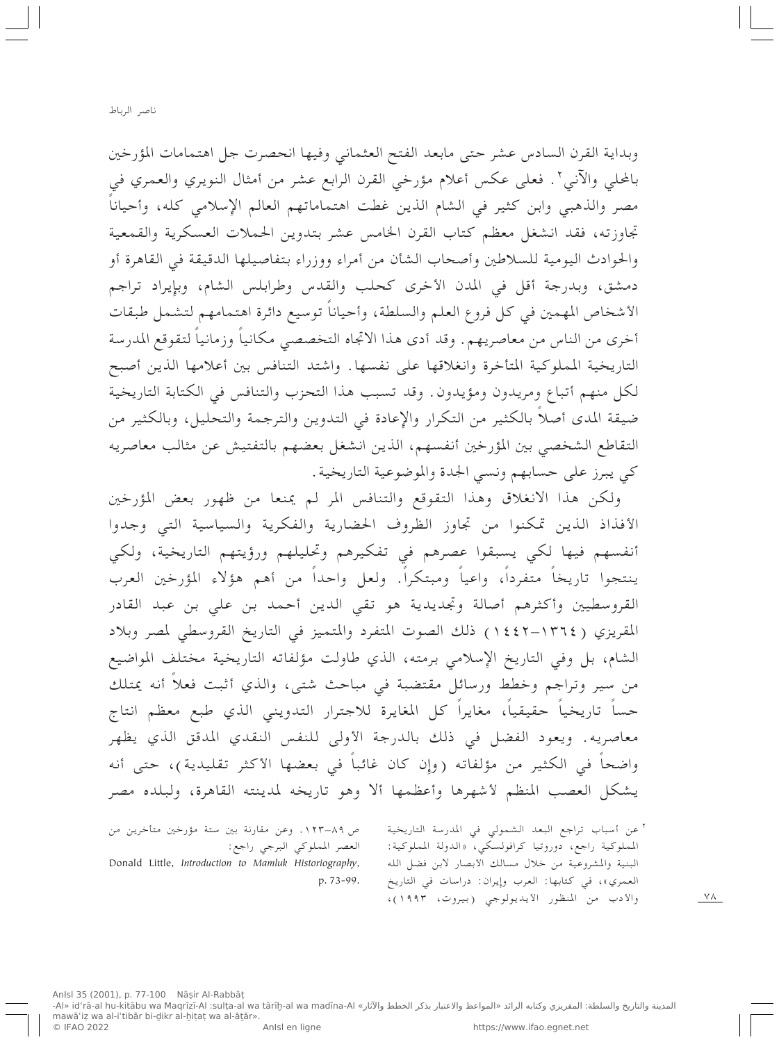وبداية القرن السادس عشر حتى مابعد الفتح العثماني وفيها انحصرت جل اهتمامات المؤرخين بالمحلي والآني٬ . فعلي عكس أعلام مؤرخي القرن الرابع عشر من أمثال النويري والعمري في مصر والذهبي وابن كثير في الشام الذين غطت اهتماماتهم العالم الإسلامي كله، وأحياناً تجاوزته، فقد انشغل معظم كتاب القرن الخامس عشر بتدوين الحملات العسكرية والقمعية والحوادث اليومية للسلاطين وأصحاب الشأن من أمراء ووزراء بتفاصيلها الدقيقة في القاهرة أو دمشق، وبدرجة أقل في المدن الأخرى كحلب والقدس وطرابلس الشام، وبإيراد تراجم الأشخاص المهمين في كل فروع العلم والسلطة، وأحياناً توسيع دائرة اهتمامهم لتشمل طبقات أخرى من الناس من معاصريهم. وقد أدى هذا الاتجاه التخصصي مكانياً وزمانياً لتقوقع المدرسة التاريخية المملوكية المتأخرة وانغلاقها على نفسها. واشتد التنافس بين أعلامها الذين أصبح لكل منهم أتباع ومريدون ومؤيدون. وقد تسبب هذا التحزب والتنافس في الكتابة التاريخية ضيقة المدى أصلاً بالكثير من التكرار والإعادة في التدوين والترجمة والتحليل، وبالكثير من التقاطع الشخصي بين المؤرخين أنفسهم، الذين انشغل بعضهم بالتفتيش عن مثالب معاصريه كي يبرز على حسابهم ونسى الجدة والموضوعية التاريخية.

ولكن هذا الانغلاق وهذا التقوقع والتنافس المر لم يمنعا من ظهور بعض المؤرخين الأفذاذ الذين تمكنوا من تجاوز الظروف الحضارية والفكرية والسياسية التبي وجدوا أنفسهم فيها لكي يسبقوا عصرهم في تفكيرهم وتحليلهم ورؤيتهم التاريخية، ولكي ينتجوا تاريخاً متفرداً، واعياً ومبتكراً. ولعل واحداً من أهم هؤلاء المؤرخين العرب القروسطيين وأكثرهم أصالة وتجديدية هو تقى الدين أحمد بن على بن عبد القادر المقريزي (١٣٦٤–١٤٤٢) ذلك الصوت المتفرد والمتميز في التاريخ القروسطى لمصر وبلاد الشام، بل وفي التاريخ الإسلامي برمته، الذي طاولت مؤلفاته التاريخية مختلف المواضيع من سير وتراجم وخطط ورسائل مقتضبة في مباحث شتبي، والذي أثبت فعلاً أنه يمتلك حساً تاريخياً حقيقياً، مغايراً كل المغايرة للاجترار التدويني الذي طبع معظم انتاج معاصريه. ويعود الفضل في ذلك بالدرجة الأولى للنفس النقدي المدقق الذي يظهر واضحاً في الكثير من مؤلفاته (وإِن كان غائباً في بعضها الأكثر تقليدية)، حتى أنه يشكل العصب المنظم لأشهرها وأعظمها ألا وهو تاريخه لمدينته القاهرة، ولبلده مصر

ص ٨٩-١٢٣ . وعن مقارنة بين ستة مؤرخين متأخرين من العصر المملوكي البرجي راجع: Donald Little, Introduction to Mamluk Historiography, p. 73-99.

٢ عن أسباب تراجع البعد الشمولي في المدرسة التاريخية المملوكية راجع، دوروتيا كرافولسكي، «الدولة المملوكية: البنية والمشروعية من خلال مسالك الأبصار لابن فضل الله العمري»، في كتابها: العرب وإيران: دراسات في التاريخ والأدب من المنظور الأيديولوجي (بيروت، ١٩٩٣)،